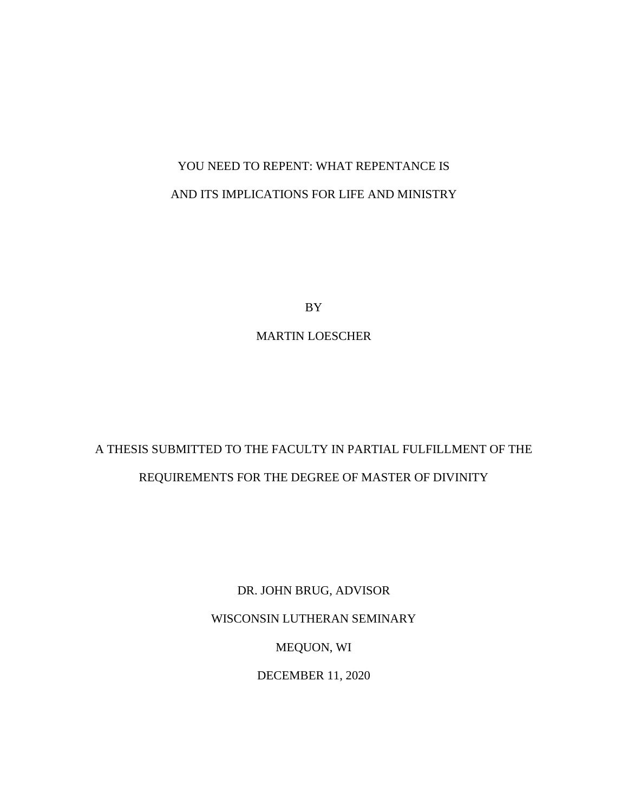# YOU NEED TO REPENT: WHAT REPENTANCE IS AND ITS IMPLICATIONS FOR LIFE AND MINISTRY

BY

MARTIN LOESCHER

# A THESIS SUBMITTED TO THE FACULTY IN PARTIAL FULFILLMENT OF THE REQUIREMENTS FOR THE DEGREE OF MASTER OF DIVINITY

DR. JOHN BRUG, ADVISOR WISCONSIN LUTHERAN SEMINARY MEQUON, WI DECEMBER 11, 2020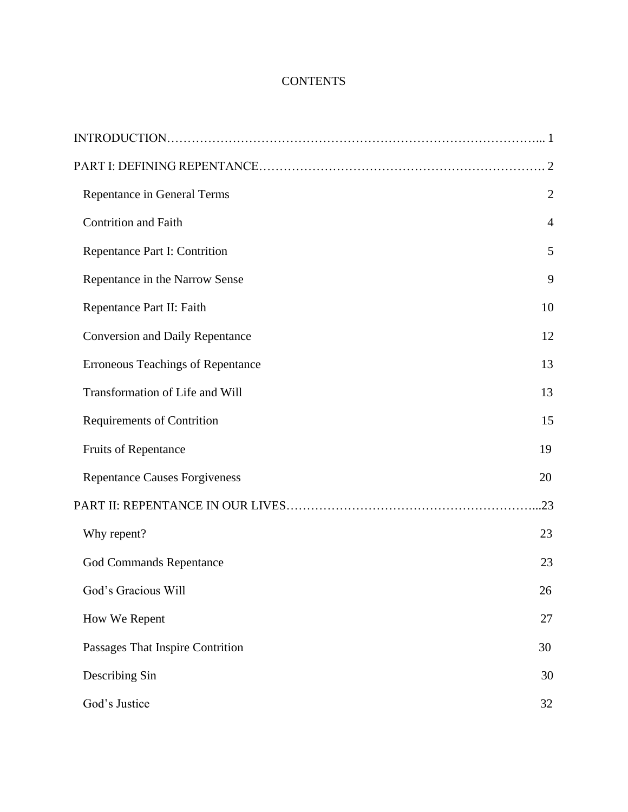# **CONTENTS**

| Repentance in General Terms              | $\overline{2}$ |
|------------------------------------------|----------------|
| <b>Contrition and Faith</b>              | $\overline{4}$ |
| Repentance Part I: Contrition            | 5              |
| Repentance in the Narrow Sense           | 9              |
| Repentance Part II: Faith                | 10             |
| <b>Conversion and Daily Repentance</b>   | 12             |
| <b>Erroneous Teachings of Repentance</b> | 13             |
| Transformation of Life and Will          | 13             |
| <b>Requirements of Contrition</b>        | 15             |
| <b>Fruits of Repentance</b>              | 19             |
| <b>Repentance Causes Forgiveness</b>     | 20             |
|                                          |                |
| Why repent?                              | 23             |
| <b>God Commands Repentance</b>           | 23             |
| God's Gracious Will                      | 26             |
| How We Repent                            | 27             |
| Passages That Inspire Contrition         | 30             |
| Describing Sin                           | 30             |
| God's Justice                            | 32             |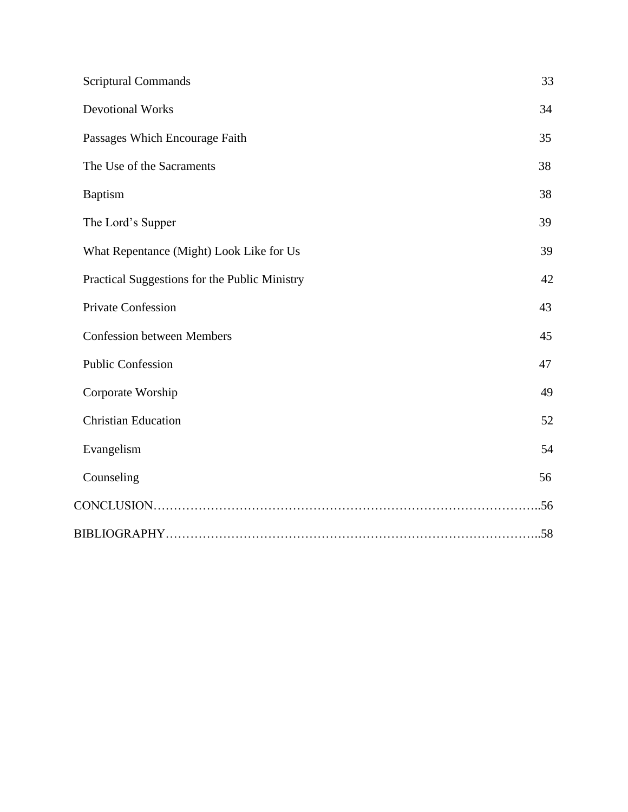| <b>Scriptural Commands</b>                    | 33 |
|-----------------------------------------------|----|
| <b>Devotional Works</b>                       | 34 |
| Passages Which Encourage Faith                | 35 |
| The Use of the Sacraments                     | 38 |
| <b>Baptism</b>                                | 38 |
| The Lord's Supper                             | 39 |
| What Repentance (Might) Look Like for Us      | 39 |
| Practical Suggestions for the Public Ministry | 42 |
| <b>Private Confession</b>                     | 43 |
| <b>Confession between Members</b>             | 45 |
| <b>Public Confession</b>                      | 47 |
| Corporate Worship                             | 49 |
| <b>Christian Education</b>                    | 52 |
| Evangelism                                    | 54 |
| Counseling                                    | 56 |
|                                               |    |
|                                               |    |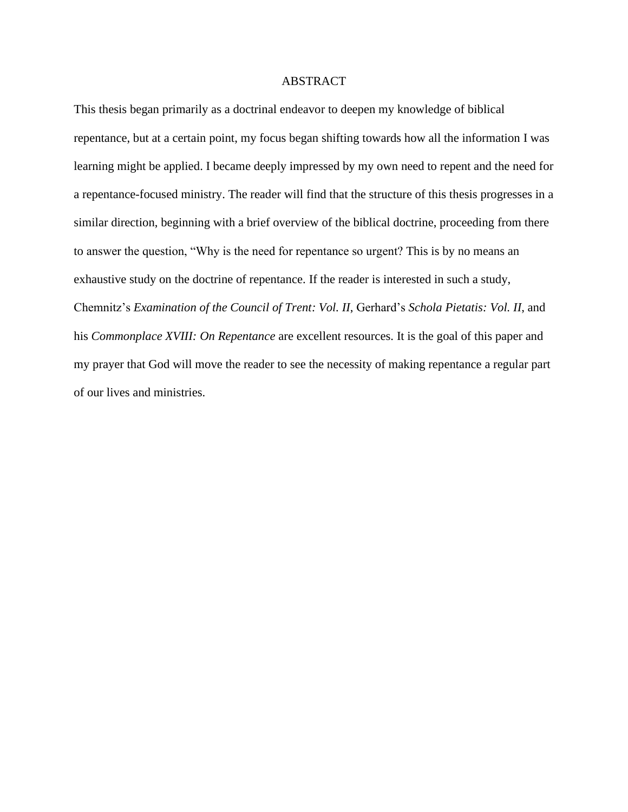# ABSTRACT

This thesis began primarily as a doctrinal endeavor to deepen my knowledge of biblical repentance, but at a certain point, my focus began shifting towards how all the information I was learning might be applied. I became deeply impressed by my own need to repent and the need for a repentance-focused ministry. The reader will find that the structure of this thesis progresses in a similar direction, beginning with a brief overview of the biblical doctrine, proceeding from there to answer the question, "Why is the need for repentance so urgent? This is by no means an exhaustive study on the doctrine of repentance. If the reader is interested in such a study, Chemnitz's *Examination of the Council of Trent: Vol. II*, Gerhard's *Schola Pietatis: Vol. II*, and his *Commonplace XVIII: On Repentance* are excellent resources. It is the goal of this paper and my prayer that God will move the reader to see the necessity of making repentance a regular part of our lives and ministries.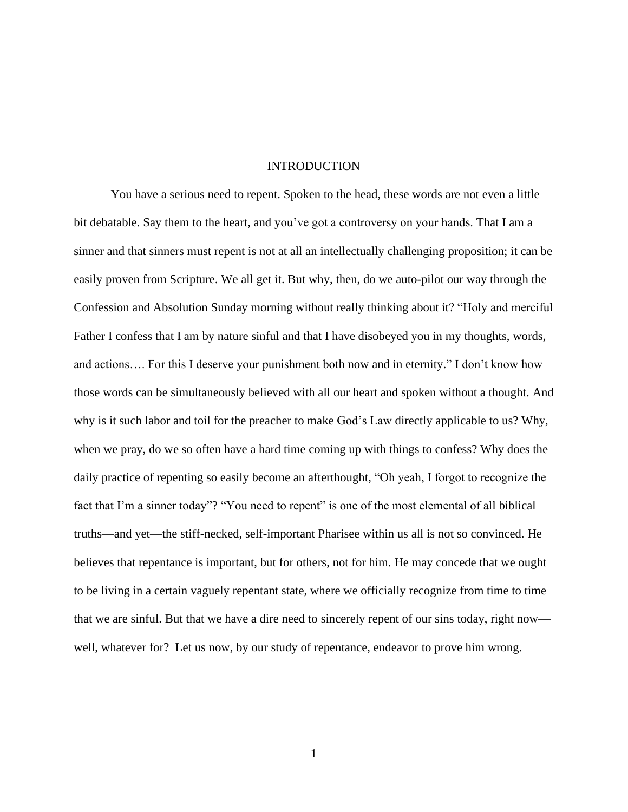# INTRODUCTION

You have a serious need to repent. Spoken to the head, these words are not even a little bit debatable. Say them to the heart, and you've got a controversy on your hands. That I am a sinner and that sinners must repent is not at all an intellectually challenging proposition; it can be easily proven from Scripture. We all get it. But why, then, do we auto-pilot our way through the Confession and Absolution Sunday morning without really thinking about it? "Holy and merciful Father I confess that I am by nature sinful and that I have disobeyed you in my thoughts, words, and actions…. For this I deserve your punishment both now and in eternity." I don't know how those words can be simultaneously believed with all our heart and spoken without a thought. And why is it such labor and toil for the preacher to make God's Law directly applicable to us? Why, when we pray, do we so often have a hard time coming up with things to confess? Why does the daily practice of repenting so easily become an afterthought, "Oh yeah, I forgot to recognize the fact that I'm a sinner today"? "You need to repent" is one of the most elemental of all biblical truths—and yet—the stiff-necked, self-important Pharisee within us all is not so convinced. He believes that repentance is important, but for others, not for him. He may concede that we ought to be living in a certain vaguely repentant state, where we officially recognize from time to time that we are sinful. But that we have a dire need to sincerely repent of our sins today, right now well, whatever for? Let us now, by our study of repentance, endeavor to prove him wrong.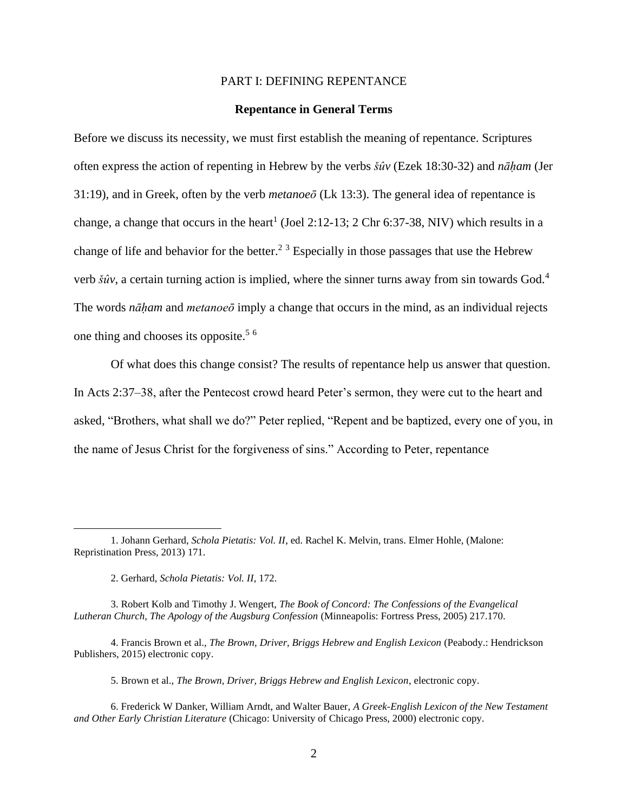# PART I: DEFINING REPENTANCE

# **Repentance in General Terms**

Before we discuss its necessity, we must first establish the meaning of repentance. Scriptures often express the action of repenting in Hebrew by the verbs *šûv* (Ezek 18:30-32) and *nāḥam* (Jer 31:19), and in Greek, often by the verb *metanoeō* (Lk 13:3). The general idea of repentance is change, a change that occurs in the heart<sup>1</sup> (Joel 2:12-13; 2 Chr 6:37-38, NIV) which results in a change of life and behavior for the better.<sup>2 3</sup> Especially in those passages that use the Hebrew verb *šûv*, a certain turning action is implied, where the sinner turns away from sin towards God.<sup>4</sup> The words *nāḥam* and *metanoeō* imply a change that occurs in the mind, as an individual rejects one thing and chooses its opposite.<sup>5  $6$ </sup>

Of what does this change consist? The results of repentance help us answer that question. In Acts 2:37–38, after the Pentecost crowd heard Peter's sermon, they were cut to the heart and asked, "Brothers, what shall we do?" Peter replied, "Repent and be baptized, every one of you, in the name of Jesus Christ for the forgiveness of sins." According to Peter, repentance

3. Robert Kolb and Timothy J. Wengert, *The Book of Concord: The Confessions of the Evangelical Lutheran Church, The Apology of the Augsburg Confession* (Minneapolis: Fortress Press, 2005) 217.170.

5. Brown et al., *The Brown, Driver, Briggs Hebrew and English Lexicon*, electronic copy.

<sup>1.</sup> Johann Gerhard, *Schola Pietatis: Vol. II*, ed. Rachel K. Melvin, trans. Elmer Hohle, (Malone: Repristination Press, 2013) 171.

<sup>2.</sup> Gerhard, *Schola Pietatis: Vol. II*, 172.

<sup>4.</sup> Francis Brown et al., *The Brown, Driver, Briggs Hebrew and English Lexicon* (Peabody.: Hendrickson Publishers, 2015) electronic copy.

<sup>6.</sup> Frederick W Danker, William Arndt, and Walter Bauer, *A Greek-English Lexicon of the New Testament and Other Early Christian Literature* (Chicago: University of Chicago Press, 2000) electronic copy.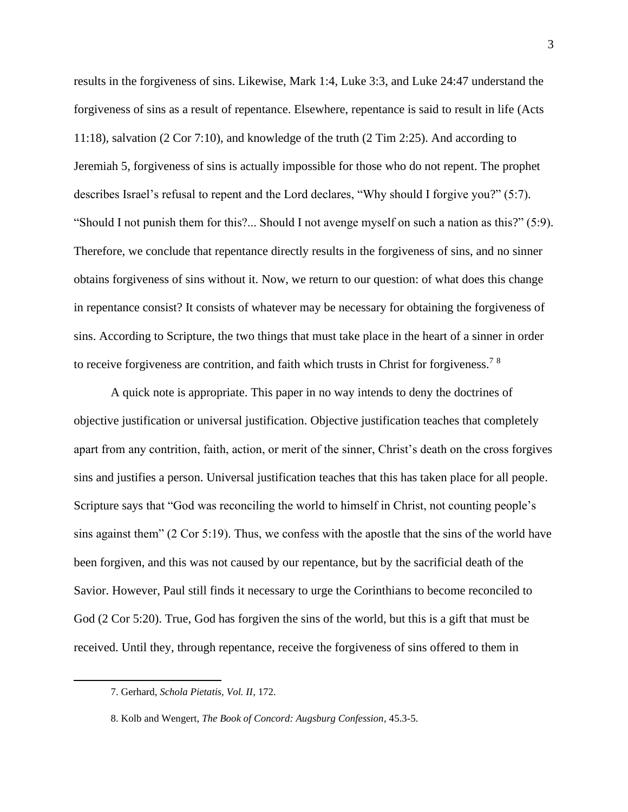results in the forgiveness of sins. Likewise, Mark 1:4, Luke 3:3, and Luke 24:47 understand the forgiveness of sins as a result of repentance. Elsewhere, repentance is said to result in life (Acts 11:18), salvation (2 Cor 7:10), and knowledge of the truth (2 Tim 2:25). And according to Jeremiah 5, forgiveness of sins is actually impossible for those who do not repent. The prophet describes Israel's refusal to repent and the Lord declares, "Why should I forgive you?" (5:7). "Should I not punish them for this?... Should I not avenge myself on such a nation as this?" (5:9). Therefore, we conclude that repentance directly results in the forgiveness of sins, and no sinner obtains forgiveness of sins without it. Now, we return to our question: of what does this change in repentance consist? It consists of whatever may be necessary for obtaining the forgiveness of sins. According to Scripture, the two things that must take place in the heart of a sinner in order to receive forgiveness are contrition, and faith which trusts in Christ for forgiveness.<sup>78</sup>

A quick note is appropriate. This paper in no way intends to deny the doctrines of objective justification or universal justification. Objective justification teaches that completely apart from any contrition, faith, action, or merit of the sinner, Christ's death on the cross forgives sins and justifies a person. Universal justification teaches that this has taken place for all people. Scripture says that "God was reconciling the world to himself in Christ, not counting people's sins against them" (2 Cor 5:19). Thus, we confess with the apostle that the sins of the world have been forgiven, and this was not caused by our repentance, but by the sacrificial death of the Savior. However, Paul still finds it necessary to urge the Corinthians to become reconciled to God (2 Cor 5:20). True, God has forgiven the sins of the world, but this is a gift that must be received. Until they, through repentance, receive the forgiveness of sins offered to them in

<sup>7.</sup> Gerhard, *Schola Pietatis, Vol. II*, 172.

<sup>8.</sup> Kolb and Wengert, *The Book of Concord: Augsburg Confession*, 45.3-5.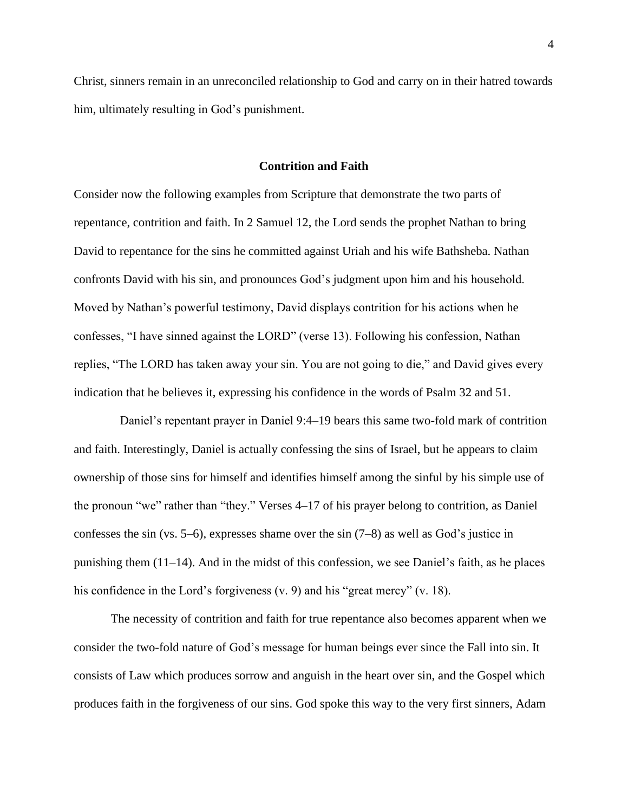Christ, sinners remain in an unreconciled relationship to God and carry on in their hatred towards him, ultimately resulting in God's punishment.

#### **Contrition and Faith**

Consider now the following examples from Scripture that demonstrate the two parts of repentance, contrition and faith. In 2 Samuel 12, the Lord sends the prophet Nathan to bring David to repentance for the sins he committed against Uriah and his wife Bathsheba. Nathan confronts David with his sin, and pronounces God's judgment upon him and his household. Moved by Nathan's powerful testimony, David displays contrition for his actions when he confesses, "I have sinned against the LORD" (verse 13). Following his confession, Nathan replies, "The LORD has taken away your sin. You are not going to die," and David gives every indication that he believes it, expressing his confidence in the words of Psalm 32 and 51.

 Daniel's repentant prayer in Daniel 9:4–19 bears this same two-fold mark of contrition and faith. Interestingly, Daniel is actually confessing the sins of Israel, but he appears to claim ownership of those sins for himself and identifies himself among the sinful by his simple use of the pronoun "we" rather than "they." Verses 4–17 of his prayer belong to contrition, as Daniel confesses the sin (vs. 5–6), expresses shame over the sin (7–8) as well as God's justice in punishing them  $(11-14)$ . And in the midst of this confession, we see Daniel's faith, as he places his confidence in the Lord's forgiveness (v. 9) and his "great mercy" (v. 18).

The necessity of contrition and faith for true repentance also becomes apparent when we consider the two-fold nature of God's message for human beings ever since the Fall into sin. It consists of Law which produces sorrow and anguish in the heart over sin, and the Gospel which produces faith in the forgiveness of our sins. God spoke this way to the very first sinners, Adam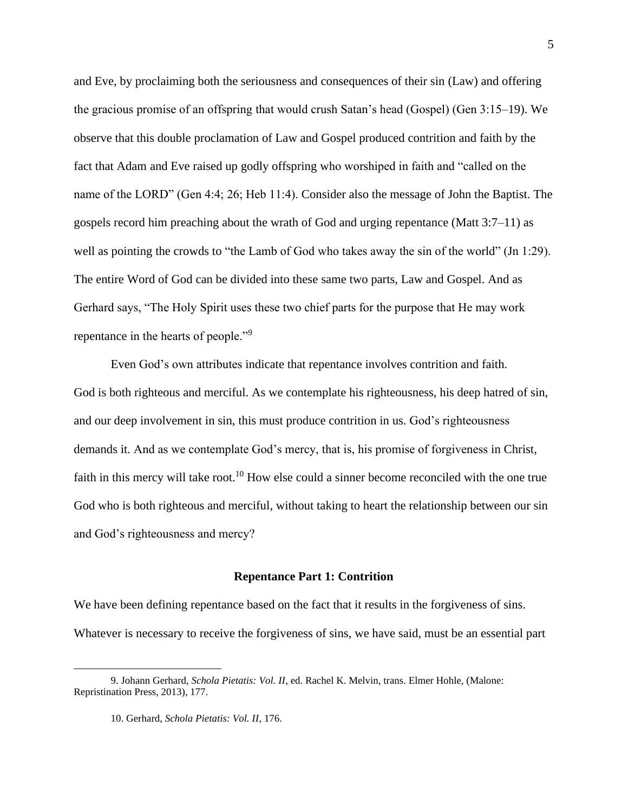and Eve, by proclaiming both the seriousness and consequences of their sin (Law) and offering the gracious promise of an offspring that would crush Satan's head (Gospel) (Gen 3:15–19). We observe that this double proclamation of Law and Gospel produced contrition and faith by the fact that Adam and Eve raised up godly offspring who worshiped in faith and "called on the name of the LORD" (Gen 4:4; 26; Heb 11:4). Consider also the message of John the Baptist. The gospels record him preaching about the wrath of God and urging repentance (Matt 3:7–11) as well as pointing the crowds to "the Lamb of God who takes away the sin of the world" (Jn 1:29). The entire Word of God can be divided into these same two parts, Law and Gospel. And as Gerhard says, "The Holy Spirit uses these two chief parts for the purpose that He may work repentance in the hearts of people."<sup>9</sup>

Even God's own attributes indicate that repentance involves contrition and faith. God is both righteous and merciful. As we contemplate his righteousness, his deep hatred of sin, and our deep involvement in sin, this must produce contrition in us. God's righteousness demands it. And as we contemplate God's mercy, that is, his promise of forgiveness in Christ, faith in this mercy will take root.<sup>10</sup> How else could a sinner become reconciled with the one true God who is both righteous and merciful, without taking to heart the relationship between our sin and God's righteousness and mercy?

# **Repentance Part 1: Contrition**

We have been defining repentance based on the fact that it results in the forgiveness of sins. Whatever is necessary to receive the forgiveness of sins, we have said, must be an essential part

<sup>9.</sup> Johann Gerhard, *Schola Pietatis: Vol. II*, ed. Rachel K. Melvin, trans. Elmer Hohle, (Malone: Repristination Press, 2013), 177.

<sup>10.</sup> Gerhard, *Schola Pietatis: Vol. II*, 176.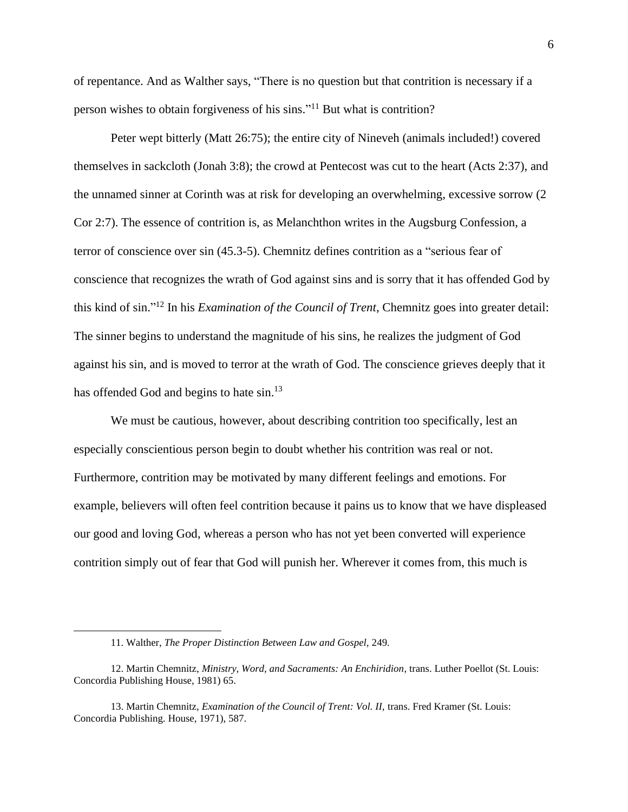of repentance. And as Walther says, "There is no question but that contrition is necessary if a person wishes to obtain forgiveness of his sins." <sup>11</sup> But what is contrition?

Peter wept bitterly (Matt 26:75); the entire city of Nineveh (animals included!) covered themselves in sackcloth (Jonah 3:8); the crowd at Pentecost was cut to the heart (Acts 2:37), and the unnamed sinner at Corinth was at risk for developing an overwhelming, excessive sorrow (2 Cor 2:7). The essence of contrition is, as Melanchthon writes in the Augsburg Confession, a terror of conscience over sin (45.3-5). Chemnitz defines contrition as a "serious fear of conscience that recognizes the wrath of God against sins and is sorry that it has offended God by this kind of sin." <sup>12</sup> In his *Examination of the Council of Trent*, Chemnitz goes into greater detail: The sinner begins to understand the magnitude of his sins, he realizes the judgment of God against his sin, and is moved to terror at the wrath of God. The conscience grieves deeply that it has offended God and begins to hate sin.<sup>13</sup>

We must be cautious, however, about describing contrition too specifically, lest an especially conscientious person begin to doubt whether his contrition was real or not. Furthermore, contrition may be motivated by many different feelings and emotions. For example, believers will often feel contrition because it pains us to know that we have displeased our good and loving God, whereas a person who has not yet been converted will experience contrition simply out of fear that God will punish her. Wherever it comes from, this much is

<sup>11.</sup> Walther, *The Proper Distinction Between Law and Gospel,* 249*.*

<sup>12.</sup> Martin Chemnitz, *Ministry, Word, and Sacraments: An Enchiridion*, trans. Luther Poellot (St. Louis: Concordia Publishing House, 1981) 65.

<sup>13.</sup> Martin Chemnitz, *Examination of the Council of Trent: Vol. II,* trans. Fred Kramer (St. Louis: Concordia Publishing. House, 1971), 587.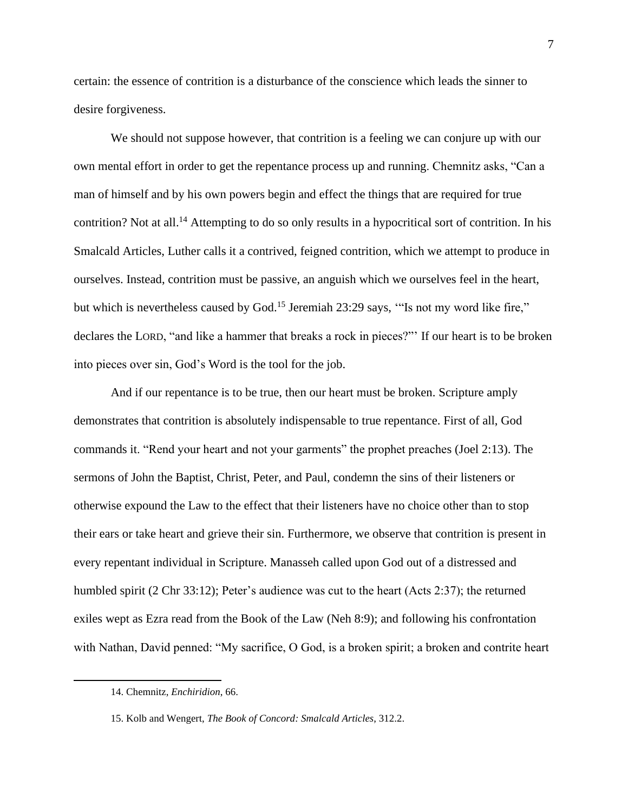certain: the essence of contrition is a disturbance of the conscience which leads the sinner to desire forgiveness.

We should not suppose however, that contrition is a feeling we can conjure up with our own mental effort in order to get the repentance process up and running. Chemnitz asks, "Can a man of himself and by his own powers begin and effect the things that are required for true contrition? Not at all.<sup>14</sup> Attempting to do so only results in a hypocritical sort of contrition. In his Smalcald Articles, Luther calls it a contrived, feigned contrition, which we attempt to produce in ourselves. Instead, contrition must be passive, an anguish which we ourselves feel in the heart, but which is nevertheless caused by God.<sup>15</sup> Jeremiah 23:29 says, "Is not my word like fire," declares the LORD, "and like a hammer that breaks a rock in pieces?"' If our heart is to be broken into pieces over sin, God's Word is the tool for the job.

And if our repentance is to be true, then our heart must be broken. Scripture amply demonstrates that contrition is absolutely indispensable to true repentance. First of all, God commands it. "Rend your heart and not your garments" the prophet preaches (Joel 2:13). The sermons of John the Baptist, Christ, Peter, and Paul, condemn the sins of their listeners or otherwise expound the Law to the effect that their listeners have no choice other than to stop their ears or take heart and grieve their sin. Furthermore, we observe that contrition is present in every repentant individual in Scripture. Manasseh called upon God out of a distressed and humbled spirit (2 Chr 33:12); Peter's audience was cut to the heart (Acts 2:37); the returned exiles wept as Ezra read from the Book of the Law (Neh 8:9); and following his confrontation with Nathan, David penned: "My sacrifice, O God, is a broken spirit; a broken and contrite heart

<sup>14.</sup> Chemnitz, *Enchiridion*, 66.

<sup>15.</sup> Kolb and Wengert, *The Book of Concord: Smalcald Articles*, 312.2.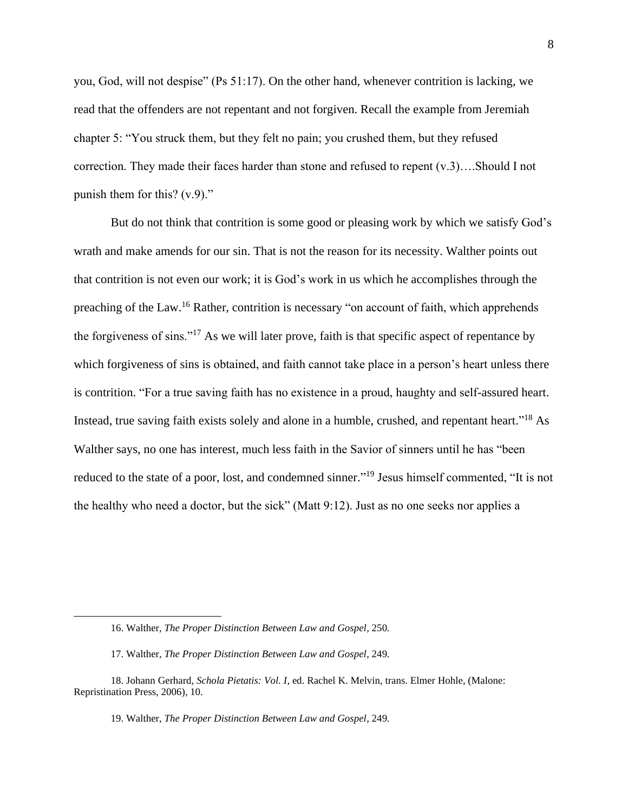you, God, will not despise" (Ps 51:17). On the other hand, whenever contrition is lacking, we read that the offenders are not repentant and not forgiven. Recall the example from Jeremiah chapter 5: "You struck them, but they felt no pain; you crushed them, but they refused correction. They made their faces harder than stone and refused to repent (v.3)….Should I not punish them for this? (v.9)."

But do not think that contrition is some good or pleasing work by which we satisfy God's wrath and make amends for our sin. That is not the reason for its necessity. Walther points out that contrition is not even our work; it is God's work in us which he accomplishes through the preaching of the Law.<sup>16</sup> Rather, contrition is necessary "on account of faith, which apprehends the forgiveness of sins."<sup>17</sup> As we will later prove, faith is that specific aspect of repentance by which forgiveness of sins is obtained, and faith cannot take place in a person's heart unless there is contrition. "For a true saving faith has no existence in a proud, haughty and self-assured heart. Instead, true saving faith exists solely and alone in a humble, crushed, and repentant heart."<sup>18</sup> As Walther says, no one has interest, much less faith in the Savior of sinners until he has "been reduced to the state of a poor, lost, and condemned sinner."<sup>19</sup> Jesus himself commented, "It is not the healthy who need a doctor, but the sick" (Matt 9:12). Just as no one seeks nor applies a

19. Walther, *The Proper Distinction Between Law and Gospel*, 249*.*

<sup>16.</sup> Walther, *The Proper Distinction Between Law and Gospel*, 250*.*

<sup>17.</sup> Walther, *The Proper Distinction Between Law and Gospel*, 249*.*

<sup>18.</sup> Johann Gerhard, *Schola Pietatis: Vol. I*, ed. Rachel K. Melvin, trans. Elmer Hohle, (Malone: Repristination Press, 2006), 10.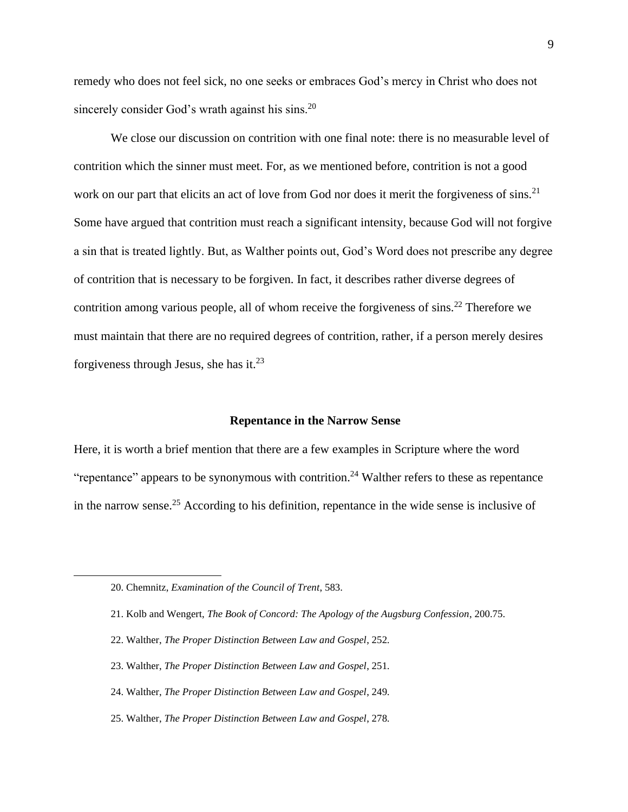remedy who does not feel sick, no one seeks or embraces God's mercy in Christ who does not sincerely consider God's wrath against his sins.<sup>20</sup>

We close our discussion on contrition with one final note: there is no measurable level of contrition which the sinner must meet. For, as we mentioned before, contrition is not a good work on our part that elicits an act of love from God nor does it merit the forgiveness of sins.<sup>21</sup> Some have argued that contrition must reach a significant intensity, because God will not forgive a sin that is treated lightly. But, as Walther points out, God's Word does not prescribe any degree of contrition that is necessary to be forgiven. In fact, it describes rather diverse degrees of contrition among various people, all of whom receive the forgiveness of sins.<sup>22</sup> Therefore we must maintain that there are no required degrees of contrition, rather, if a person merely desires forgiveness through Jesus, she has it.<sup>23</sup>

#### **Repentance in the Narrow Sense**

Here, it is worth a brief mention that there are a few examples in Scripture where the word "repentance" appears to be synonymous with contrition.<sup>24</sup> Walther refers to these as repentance in the narrow sense.<sup>25</sup> According to his definition, repentance in the wide sense is inclusive of

- 22. Walther, *The Proper Distinction Between Law and Gospel*, 252*.*
- 23. Walther, *The Proper Distinction Between Law and Gospel*, 251*.*
- 24. Walther, *The Proper Distinction Between Law and Gospel*, 249*.*
- 25. Walther, *The Proper Distinction Between Law and Gospel*, 278*.*

<sup>20.</sup> Chemnitz, *Examination of the Council of Trent*, 583.

<sup>21.</sup> Kolb and Wengert, *The Book of Concord: The Apology of the Augsburg Confession*, 200.75.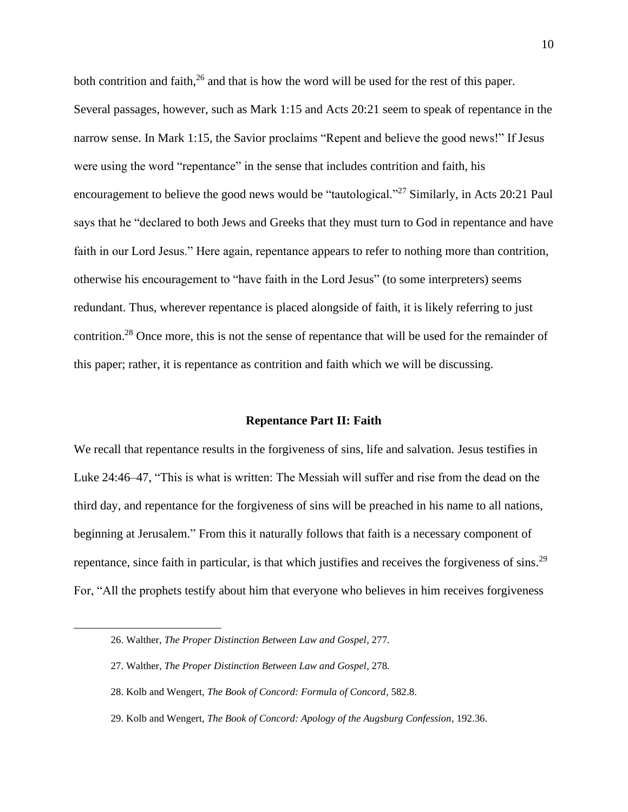both contrition and faith,  $26$  and that is how the word will be used for the rest of this paper. Several passages, however, such as Mark 1:15 and Acts 20:21 seem to speak of repentance in the narrow sense. In Mark 1:15, the Savior proclaims "Repent and believe the good news!" If Jesus were using the word "repentance" in the sense that includes contrition and faith, his encouragement to believe the good news would be "tautological."<sup>27</sup> Similarly, in Acts 20:21 Paul says that he "declared to both Jews and Greeks that they must turn to God in repentance and have faith in our Lord Jesus." Here again, repentance appears to refer to nothing more than contrition, otherwise his encouragement to "have faith in the Lord Jesus" (to some interpreters) seems redundant. Thus, wherever repentance is placed alongside of faith, it is likely referring to just contrition.<sup>28</sup> Once more, this is not the sense of repentance that will be used for the remainder of this paper; rather, it is repentance as contrition and faith which we will be discussing.

#### **Repentance Part II: Faith**

We recall that repentance results in the forgiveness of sins, life and salvation. Jesus testifies in Luke 24:46–47, "This is what is written: The Messiah will suffer and rise from the dead on the third day, and repentance for the forgiveness of sins will be preached in his name to all nations, beginning at Jerusalem." From this it naturally follows that faith is a necessary component of repentance, since faith in particular, is that which justifies and receives the forgiveness of sins.<sup>29</sup> For, "All the prophets testify about him that everyone who believes in him receives forgiveness

- 27. Walther, *The Proper Distinction Between Law and Gospel*, 278*.*
- 28. Kolb and Wengert, *The Book of Concord: Formula of Concord,* 582.8.
- 29. Kolb and Wengert, *The Book of Concord: Apology of the Augsburg Confession*, 192.36.

<sup>26.</sup> Walther, *The Proper Distinction Between Law and Gospel*, 277*.*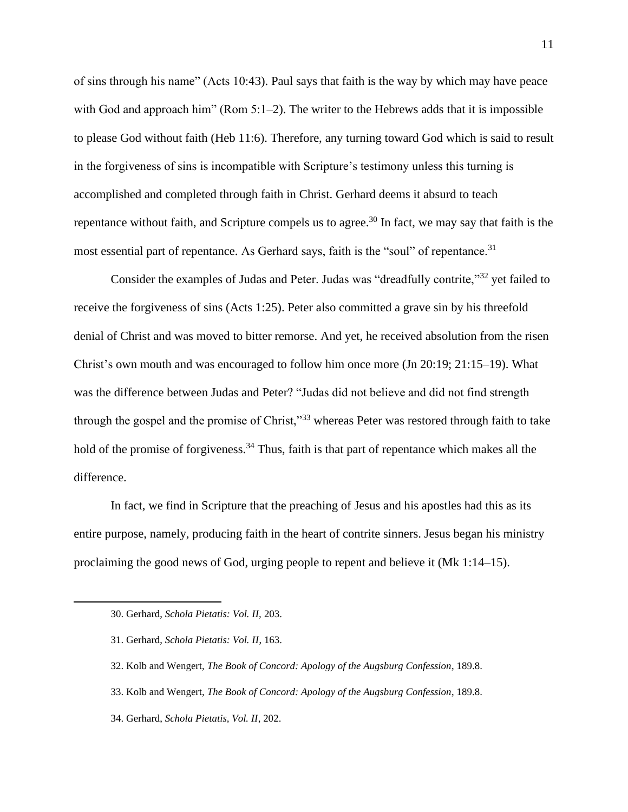of sins through his name" (Acts 10:43). Paul says that faith is the way by which may have peace with God and approach him" (Rom  $5:1-2$ ). The writer to the Hebrews adds that it is impossible to please God without faith (Heb 11:6). Therefore, any turning toward God which is said to result in the forgiveness of sins is incompatible with Scripture's testimony unless this turning is accomplished and completed through faith in Christ. Gerhard deems it absurd to teach repentance without faith, and Scripture compels us to agree.<sup>30</sup> In fact, we may say that faith is the most essential part of repentance. As Gerhard says, faith is the "soul" of repentance.<sup>31</sup>

Consider the examples of Judas and Peter. Judas was "dreadfully contrite,"<sup>32</sup> yet failed to receive the forgiveness of sins (Acts 1:25). Peter also committed a grave sin by his threefold denial of Christ and was moved to bitter remorse. And yet, he received absolution from the risen Christ's own mouth and was encouraged to follow him once more (Jn 20:19; 21:15–19). What was the difference between Judas and Peter? "Judas did not believe and did not find strength through the gospel and the promise of Christ,"<sup>33</sup> whereas Peter was restored through faith to take hold of the promise of forgiveness.<sup>34</sup> Thus, faith is that part of repentance which makes all the difference.

In fact, we find in Scripture that the preaching of Jesus and his apostles had this as its entire purpose, namely, producing faith in the heart of contrite sinners. Jesus began his ministry proclaiming the good news of God, urging people to repent and believe it (Mk 1:14–15).

<sup>30.</sup> Gerhard, *Schola Pietatis: Vol. II,* 203.

<sup>31.</sup> Gerhard, *Schola Pietatis: Vol. II*, 163.

<sup>32.</sup> Kolb and Wengert, *The Book of Concord: Apology of the Augsburg Confession*, 189.8.

<sup>33.</sup> Kolb and Wengert, *The Book of Concord: Apology of the Augsburg Confession*, 189.8.

<sup>34.</sup> Gerhard, *Schola Pietatis, Vol. II*, 202.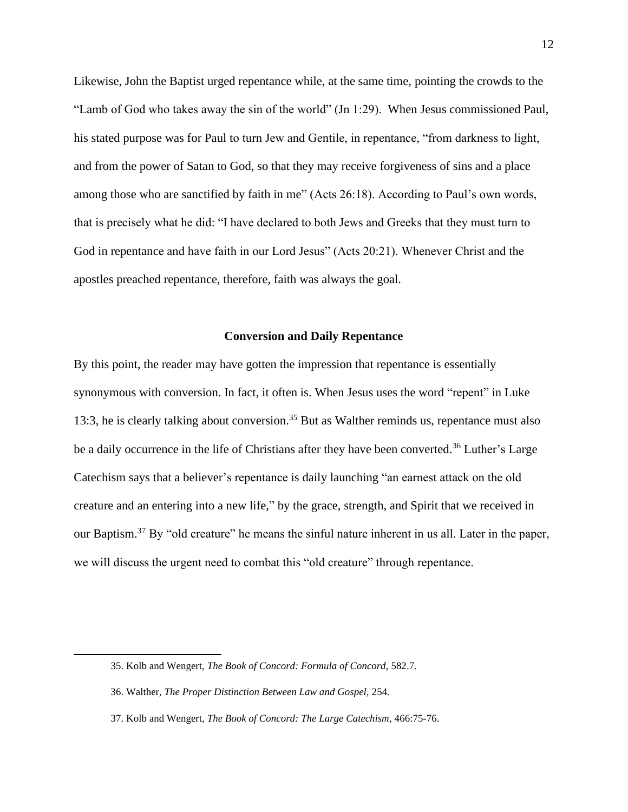Likewise, John the Baptist urged repentance while, at the same time, pointing the crowds to the "Lamb of God who takes away the sin of the world" (Jn 1:29). When Jesus commissioned Paul, his stated purpose was for Paul to turn Jew and Gentile, in repentance, "from darkness to light, and from the power of Satan to God, so that they may receive forgiveness of sins and a place among those who are sanctified by faith in me" (Acts 26:18). According to Paul's own words, that is precisely what he did: "I have declared to both Jews and Greeks that they must turn to God in repentance and have faith in our Lord Jesus" (Acts 20:21). Whenever Christ and the apostles preached repentance, therefore, faith was always the goal.

#### **Conversion and Daily Repentance**

By this point, the reader may have gotten the impression that repentance is essentially synonymous with conversion. In fact, it often is. When Jesus uses the word "repent" in Luke 13:3, he is clearly talking about conversion.<sup>35</sup> But as Walther reminds us, repentance must also be a daily occurrence in the life of Christians after they have been converted.<sup>36</sup> Luther's Large Catechism says that a believer's repentance is daily launching "an earnest attack on the old creature and an entering into a new life," by the grace, strength, and Spirit that we received in our Baptism.<sup>37</sup> By "old creature" he means the sinful nature inherent in us all. Later in the paper, we will discuss the urgent need to combat this "old creature" through repentance.

<sup>35.</sup> Kolb and Wengert, *The Book of Concord: Formula of Concord,* 582.7.

<sup>36.</sup> Walther, *The Proper Distinction Between Law and Gospel,* 254*.*

<sup>37.</sup> Kolb and Wengert, *The Book of Concord: The Large Catechism*, 466:75-76.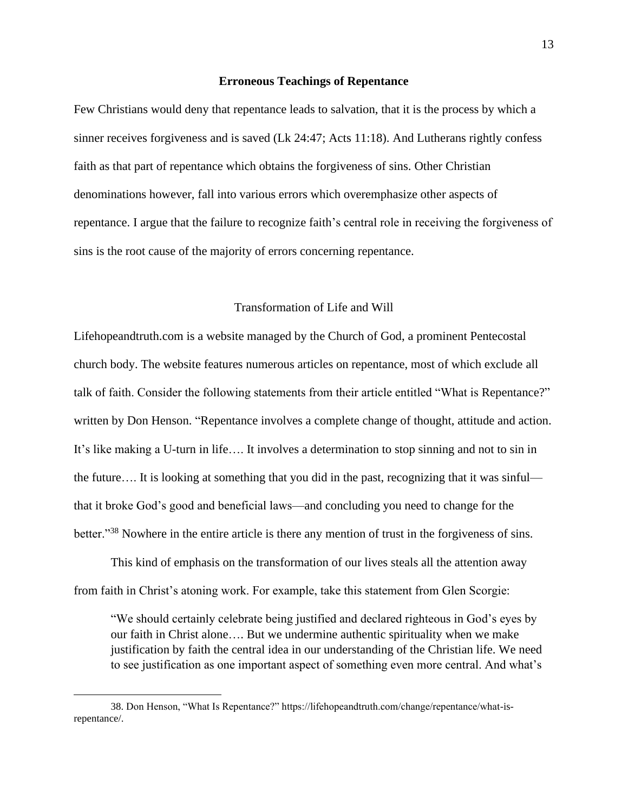# **Erroneous Teachings of Repentance**

Few Christians would deny that repentance leads to salvation, that it is the process by which a sinner receives forgiveness and is saved (Lk 24:47; Acts 11:18). And Lutherans rightly confess faith as that part of repentance which obtains the forgiveness of sins. Other Christian denominations however, fall into various errors which overemphasize other aspects of repentance. I argue that the failure to recognize faith's central role in receiving the forgiveness of sins is the root cause of the majority of errors concerning repentance.

# Transformation of Life and Will

Lifehopeandtruth.com is a website managed by the Church of God, a prominent Pentecostal church body. The website features numerous articles on repentance, most of which exclude all talk of faith. Consider the following statements from their article entitled "What is Repentance?" written by Don Henson. "Repentance involves a complete change of thought, attitude and action. It's like making a U-turn in life…. It involves a determination to stop sinning and not to sin in the future…. It is looking at something that you did in the past, recognizing that it was sinful that it broke God's good and beneficial laws—and concluding you need to change for the better."<sup>38</sup> Nowhere in the entire article is there any mention of trust in the forgiveness of sins.

This kind of emphasis on the transformation of our lives steals all the attention away from faith in Christ's atoning work. For example, take this statement from Glen Scorgie:

"We should certainly celebrate being justified and declared righteous in God's eyes by our faith in Christ alone…. But we undermine authentic spirituality when we make justification by faith the central idea in our understanding of the Christian life. We need to see justification as one important aspect of something even more central. And what's

<sup>38.</sup> Don Henson, "What Is Repentance?" https://lifehopeandtruth.com/change/repentance/what-isrepentance/.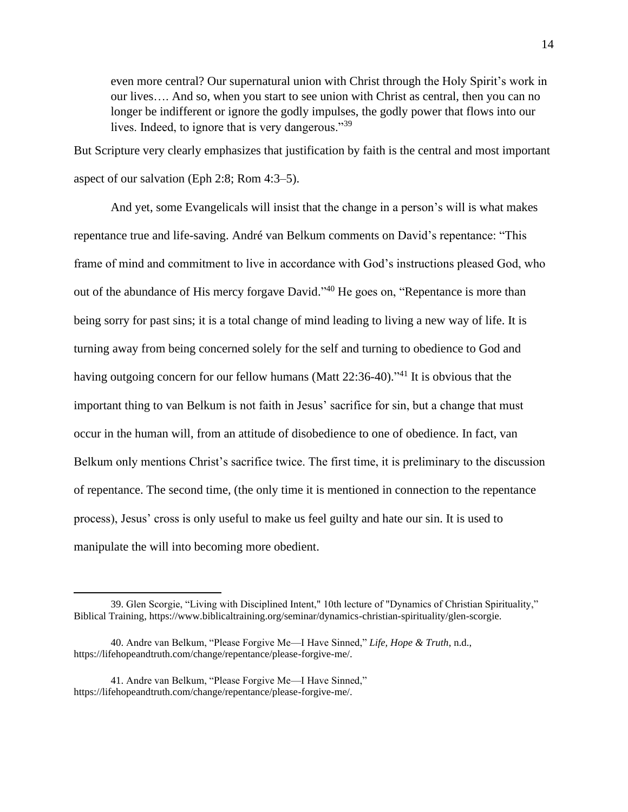even more central? Our supernatural union with Christ through the Holy Spirit's work in our lives…. And so, when you start to see union with Christ as central, then you can no longer be indifferent or ignore the godly impulses, the godly power that flows into our lives. Indeed, to ignore that is very dangerous."<sup>39</sup>

But Scripture very clearly emphasizes that justification by faith is the central and most important aspect of our salvation (Eph 2:8; Rom 4:3–5).

And yet, some Evangelicals will insist that the change in a person's will is what makes repentance true and life-saving. André van Belkum comments on David's repentance: "This frame of mind and commitment to live in accordance with God's instructions pleased God, who out of the abundance of His mercy forgave David."<sup>40</sup> He goes on, "Repentance is more than being sorry for past sins; it is a total change of mind leading to living a new way of life. It is turning away from being concerned solely for the self and turning to obedience to God and having outgoing concern for our fellow humans (Matt 22:36-40)."<sup>41</sup> It is obvious that the important thing to van Belkum is not faith in Jesus' sacrifice for sin, but a change that must occur in the human will, from an attitude of disobedience to one of obedience. In fact, van Belkum only mentions Christ's sacrifice twice. The first time, it is preliminary to the discussion of repentance. The second time, (the only time it is mentioned in connection to the repentance process), Jesus' cross is only useful to make us feel guilty and hate our sin. It is used to manipulate the will into becoming more obedient.

<sup>39.</sup> Glen Scorgie, "Living with Disciplined Intent," 10th lecture of "Dynamics of Christian Spirituality," Biblical Training, https://www.biblicaltraining.org/seminar/dynamics-christian-spirituality/glen-scorgie.

<sup>40.</sup> Andre van Belkum, "Please Forgive Me—I Have Sinned," *Life, Hope & Truth*, n.d., https://lifehopeandtruth.com/change/repentance/please-forgive-me/.

<sup>41.</sup> Andre van Belkum, "Please Forgive Me—I Have Sinned," https://lifehopeandtruth.com/change/repentance/please-forgive-me/.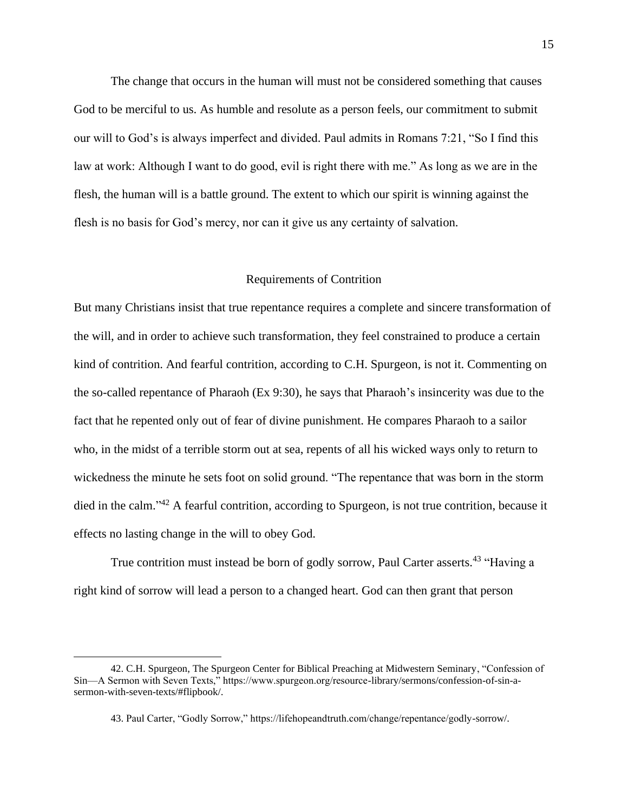The change that occurs in the human will must not be considered something that causes God to be merciful to us. As humble and resolute as a person feels, our commitment to submit our will to God's is always imperfect and divided. Paul admits in Romans 7:21, "So I find this law at work: Although I want to do good, evil is right there with me." As long as we are in the flesh, the human will is a battle ground. The extent to which our spirit is winning against the flesh is no basis for God's mercy, nor can it give us any certainty of salvation.

# Requirements of Contrition

But many Christians insist that true repentance requires a complete and sincere transformation of the will, and in order to achieve such transformation, they feel constrained to produce a certain kind of contrition. And fearful contrition, according to C.H. Spurgeon, is not it. Commenting on the so-called repentance of Pharaoh (Ex 9:30), he says that Pharaoh's insincerity was due to the fact that he repented only out of fear of divine punishment. He compares Pharaoh to a sailor who, in the midst of a terrible storm out at sea, repents of all his wicked ways only to return to wickedness the minute he sets foot on solid ground. "The repentance that was born in the storm died in the calm."<sup>42</sup> A fearful contrition, according to Spurgeon, is not true contrition, because it effects no lasting change in the will to obey God.

True contrition must instead be born of godly sorrow, Paul Carter asserts.<sup>43</sup> "Having a right kind of sorrow will lead a person to a changed heart. God can then grant that person

<sup>42.</sup> C.H. Spurgeon, The Spurgeon Center for Biblical Preaching at Midwestern Seminary, "Confession of Sin—A Sermon with Seven Texts," https://www.spurgeon.org/resource-library/sermons/confession-of-sin-asermon-with-seven-texts/#flipbook/.

<sup>43.</sup> Paul Carter, "Godly Sorrow," https://lifehopeandtruth.com/change/repentance/godly-sorrow/.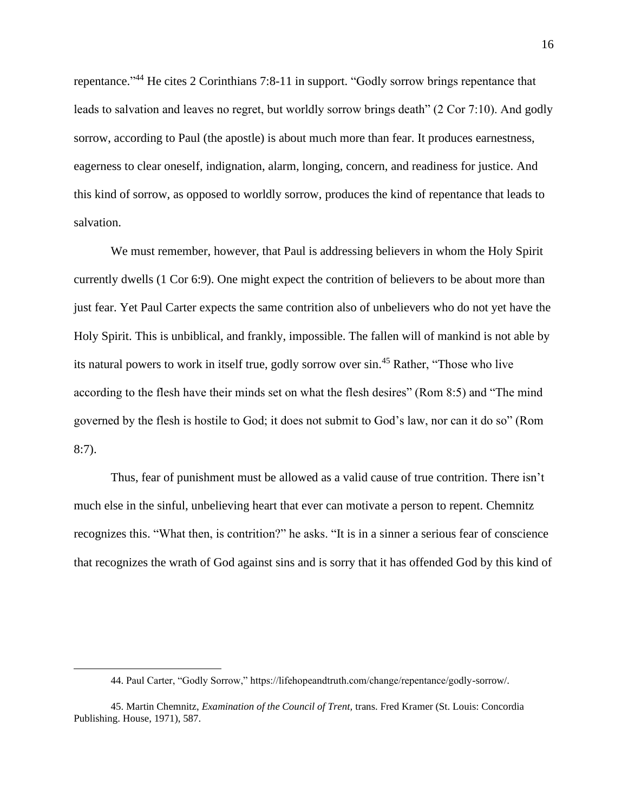repentance."<sup>44</sup> He cites 2 Corinthians 7:8-11 in support. "Godly sorrow brings repentance that leads to salvation and leaves no regret, but worldly sorrow brings death" (2 Cor 7:10). And godly sorrow, according to Paul (the apostle) is about much more than fear. It produces earnestness, eagerness to clear oneself, indignation, alarm, longing, concern, and readiness for justice. And this kind of sorrow, as opposed to worldly sorrow, produces the kind of repentance that leads to salvation.

We must remember, however, that Paul is addressing believers in whom the Holy Spirit currently dwells (1 Cor 6:9). One might expect the contrition of believers to be about more than just fear. Yet Paul Carter expects the same contrition also of unbelievers who do not yet have the Holy Spirit. This is unbiblical, and frankly, impossible. The fallen will of mankind is not able by its natural powers to work in itself true, godly sorrow over sin.<sup>45</sup> Rather, "Those who live according to the flesh have their minds set on what the flesh desires" (Rom 8:5) and "The mind governed by the flesh is hostile to God; it does not submit to God's law, nor can it do so" (Rom 8:7).

Thus, fear of punishment must be allowed as a valid cause of true contrition. There isn't much else in the sinful, unbelieving heart that ever can motivate a person to repent. Chemnitz recognizes this. "What then, is contrition?" he asks. "It is in a sinner a serious fear of conscience that recognizes the wrath of God against sins and is sorry that it has offended God by this kind of

<sup>44.</sup> Paul Carter, "Godly Sorrow," https://lifehopeandtruth.com/change/repentance/godly-sorrow/.

<sup>45.</sup> Martin Chemnitz, *Examination of the Council of Trent,* trans. Fred Kramer (St. Louis: Concordia Publishing. House, 1971), 587.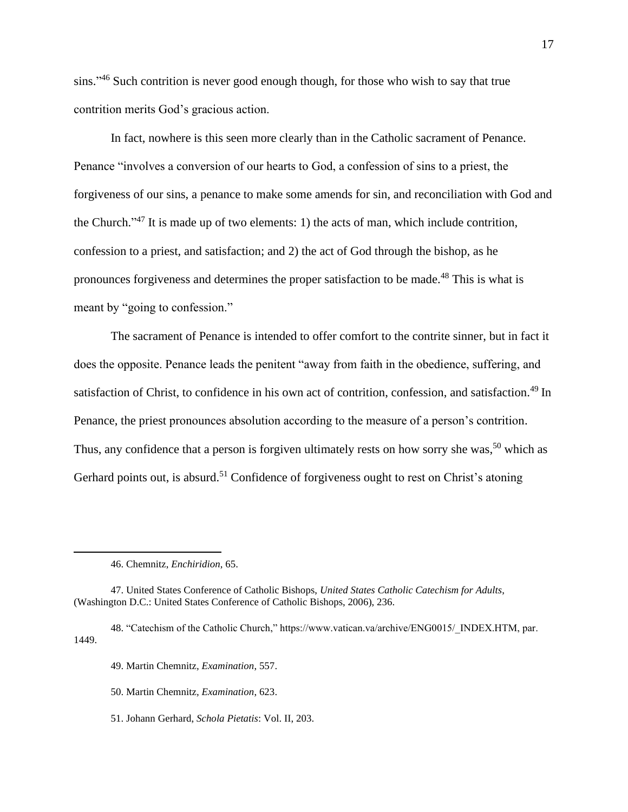sins."<sup>46</sup> Such contrition is never good enough though, for those who wish to say that true contrition merits God's gracious action.

In fact, nowhere is this seen more clearly than in the Catholic sacrament of Penance. Penance "involves a conversion of our hearts to God, a confession of sins to a priest, the forgiveness of our sins, a penance to make some amends for sin, and reconciliation with God and the Church."<sup>47</sup> It is made up of two elements: 1) the acts of man, which include contrition, confession to a priest, and satisfaction; and 2) the act of God through the bishop, as he pronounces forgiveness and determines the proper satisfaction to be made.<sup>48</sup> This is what is meant by "going to confession."

The sacrament of Penance is intended to offer comfort to the contrite sinner, but in fact it does the opposite. Penance leads the penitent "away from faith in the obedience, suffering, and satisfaction of Christ, to confidence in his own act of contrition, confession, and satisfaction.<sup>49</sup> In Penance, the priest pronounces absolution according to the measure of a person's contrition. Thus, any confidence that a person is forgiven ultimately rests on how sorry she was,<sup>50</sup> which as Gerhard points out, is absurd.<sup>51</sup> Confidence of forgiveness ought to rest on Christ's atoning

- 48. "Catechism of the Catholic Church," https://www.vatican.va/archive/ENG0015/\_INDEX.HTM, par. 1449.
	- 49. Martin Chemnitz*, Examination*, 557.
	- 50. Martin Chemnitz*, Examination*, 623.
	- 51. Johann Gerhard, *Schola Pietatis*: Vol. II, 203.

<sup>46.</sup> Chemnitz, *Enchiridion*, 65.

<sup>47.</sup> United States Conference of Catholic Bishops, *United States Catholic Catechism for Adults*, (Washington D.C.: United States Conference of Catholic Bishops, 2006), 236.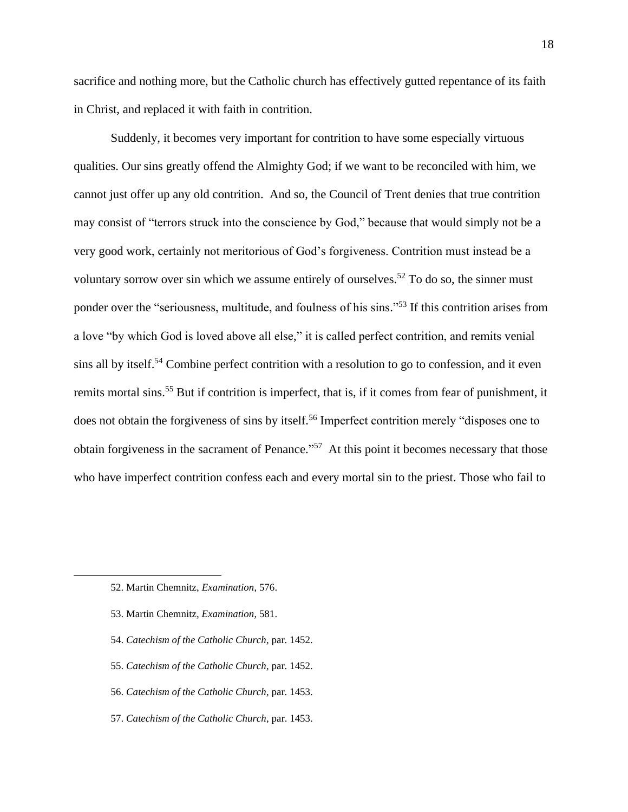sacrifice and nothing more, but the Catholic church has effectively gutted repentance of its faith in Christ, and replaced it with faith in contrition.

Suddenly, it becomes very important for contrition to have some especially virtuous qualities. Our sins greatly offend the Almighty God; if we want to be reconciled with him, we cannot just offer up any old contrition. And so, the Council of Trent denies that true contrition may consist of "terrors struck into the conscience by God," because that would simply not be a very good work, certainly not meritorious of God's forgiveness. Contrition must instead be a voluntary sorrow over sin which we assume entirely of ourselves.<sup>52</sup> To do so, the sinner must ponder over the "seriousness, multitude, and foulness of his sins."<sup>53</sup> If this contrition arises from a love "by which God is loved above all else," it is called perfect contrition, and remits venial sins all by itself.<sup>54</sup> Combine perfect contrition with a resolution to go to confession, and it even remits mortal sins.<sup>55</sup> But if contrition is imperfect, that is, if it comes from fear of punishment, it does not obtain the forgiveness of sins by itself.<sup>56</sup> Imperfect contrition merely "disposes one to obtain forgiveness in the sacrament of Penance."<sup>57</sup> At this point it becomes necessary that those who have imperfect contrition confess each and every mortal sin to the priest. Those who fail to

- 53. Martin Chemnitz*, Examination*, 581.
- 54. *Catechism of the Catholic Church*, par. 1452.
- 55. *Catechism of the Catholic Church*, par. 1452.
- 56. *Catechism of the Catholic Church*, par. 1453.
- 57. *Catechism of the Catholic Church*, par. 1453.

<sup>52.</sup> Martin Chemnitz, *Examination*, 576.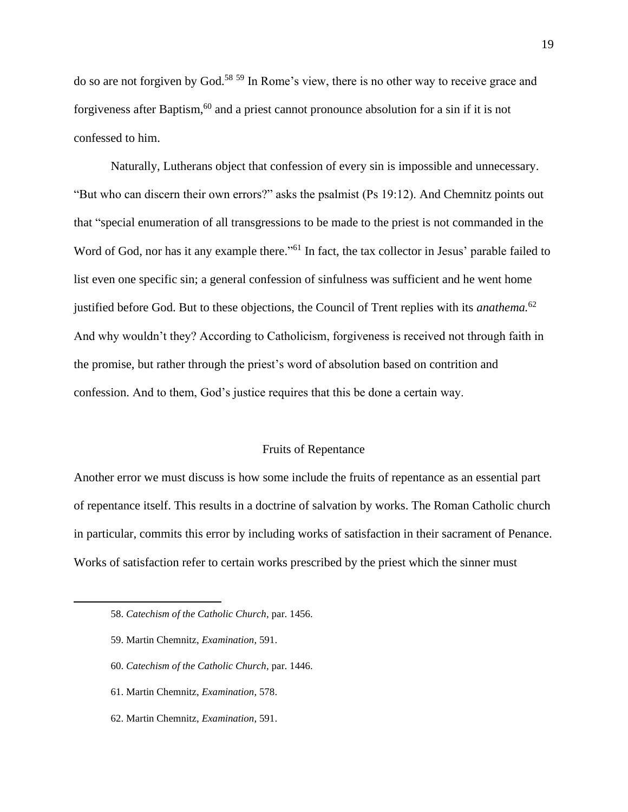do so are not forgiven by God.<sup>58 59</sup> In Rome's view, there is no other way to receive grace and forgiveness after Baptism,  $60$  and a priest cannot pronounce absolution for a sin if it is not confessed to him.

Naturally, Lutherans object that confession of every sin is impossible and unnecessary. "But who can discern their own errors?" asks the psalmist (Ps 19:12). And Chemnitz points out that "special enumeration of all transgressions to be made to the priest is not commanded in the Word of God, nor has it any example there."<sup>61</sup> In fact, the tax collector in Jesus' parable failed to list even one specific sin; a general confession of sinfulness was sufficient and he went home justified before God. But to these objections, the Council of Trent replies with its *anathema.*<sup>62</sup> And why wouldn't they? According to Catholicism, forgiveness is received not through faith in the promise, but rather through the priest's word of absolution based on contrition and confession. And to them, God's justice requires that this be done a certain way.

#### Fruits of Repentance

Another error we must discuss is how some include the fruits of repentance as an essential part of repentance itself. This results in a doctrine of salvation by works. The Roman Catholic church in particular, commits this error by including works of satisfaction in their sacrament of Penance. Works of satisfaction refer to certain works prescribed by the priest which the sinner must

- 59. Martin Chemnitz, *Examination*, 591.
- 60. *Catechism of the Catholic Church*, par. 1446.
- 61. Martin Chemnitz, *Examination*, 578.
- 62. Martin Chemnitz, *Examination*, 591.

<sup>58.</sup> *Catechism of the Catholic Church*, par. 1456.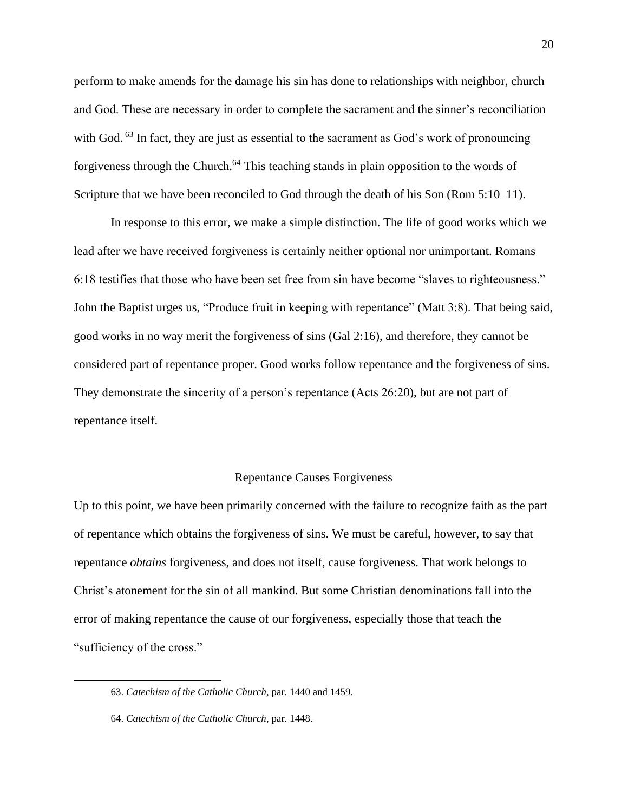perform to make amends for the damage his sin has done to relationships with neighbor, church and God. These are necessary in order to complete the sacrament and the sinner's reconciliation with God. <sup>63</sup> In fact, they are just as essential to the sacrament as God's work of pronouncing forgiveness through the Church.<sup>64</sup> This teaching stands in plain opposition to the words of Scripture that we have been reconciled to God through the death of his Son (Rom 5:10–11).

In response to this error, we make a simple distinction. The life of good works which we lead after we have received forgiveness is certainly neither optional nor unimportant. Romans 6:18 testifies that those who have been set free from sin have become "slaves to righteousness." John the Baptist urges us, "Produce fruit in keeping with repentance" (Matt 3:8). That being said, good works in no way merit the forgiveness of sins (Gal 2:16), and therefore, they cannot be considered part of repentance proper. Good works follow repentance and the forgiveness of sins. They demonstrate the sincerity of a person's repentance (Acts 26:20), but are not part of repentance itself.

#### Repentance Causes Forgiveness

Up to this point, we have been primarily concerned with the failure to recognize faith as the part of repentance which obtains the forgiveness of sins. We must be careful, however, to say that repentance *obtains* forgiveness, and does not itself, cause forgiveness. That work belongs to Christ's atonement for the sin of all mankind. But some Christian denominations fall into the error of making repentance the cause of our forgiveness, especially those that teach the "sufficiency of the cross."

<sup>63.</sup> *Catechism of the Catholic Church*, par. 1440 and 1459.

<sup>64.</sup> *Catechism of the Catholic Church*, par. 1448.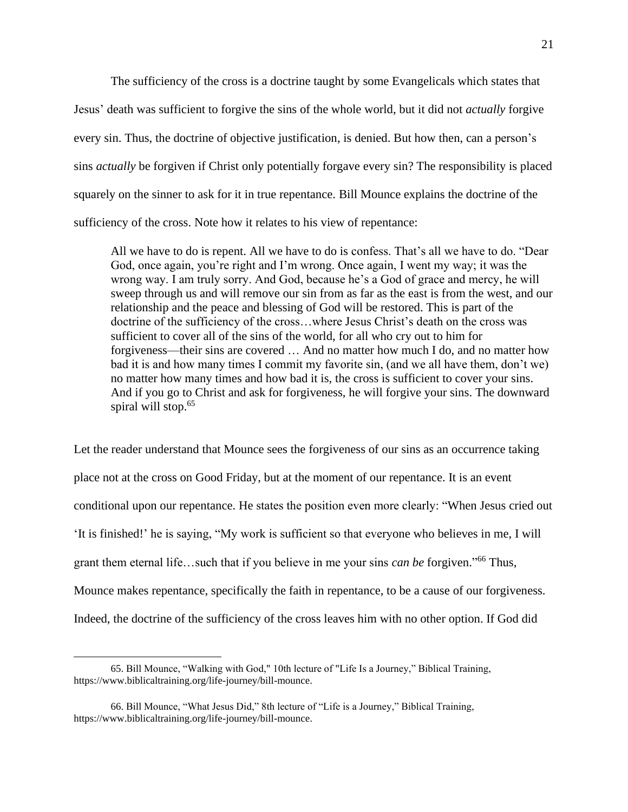The sufficiency of the cross is a doctrine taught by some Evangelicals which states that Jesus' death was sufficient to forgive the sins of the whole world, but it did not *actually* forgive every sin. Thus, the doctrine of objective justification, is denied. But how then, can a person's sins *actually* be forgiven if Christ only potentially forgave every sin? The responsibility is placed squarely on the sinner to ask for it in true repentance. Bill Mounce explains the doctrine of the sufficiency of the cross. Note how it relates to his view of repentance:

All we have to do is repent. All we have to do is confess. That's all we have to do. "Dear God, once again, you're right and I'm wrong. Once again, I went my way; it was the wrong way. I am truly sorry. And God, because he's a God of grace and mercy, he will sweep through us and will remove our sin from as far as the east is from the west, and our relationship and the peace and blessing of God will be restored. This is part of the doctrine of the sufficiency of the cross…where Jesus Christ's death on the cross was sufficient to cover all of the sins of the world, for all who cry out to him for forgiveness—their sins are covered … And no matter how much I do, and no matter how bad it is and how many times I commit my favorite sin, (and we all have them, don't we) no matter how many times and how bad it is, the cross is sufficient to cover your sins. And if you go to Christ and ask for forgiveness, he will forgive your sins. The downward spiral will stop.<sup>65</sup>

Let the reader understand that Mounce sees the forgiveness of our sins as an occurrence taking place not at the cross on Good Friday, but at the moment of our repentance. It is an event conditional upon our repentance. He states the position even more clearly: "When Jesus cried out 'It is finished!' he is saying, "My work is sufficient so that everyone who believes in me, I will grant them eternal life…such that if you believe in me your sins *can be* forgiven." <sup>66</sup> Thus, Mounce makes repentance, specifically the faith in repentance, to be a cause of our forgiveness. Indeed, the doctrine of the sufficiency of the cross leaves him with no other option. If God did

<sup>65.</sup> Bill Mounce, "Walking with God," 10th lecture of "Life Is a Journey," Biblical Training, https://www.biblicaltraining.org/life-journey/bill-mounce.

<sup>66.</sup> Bill Mounce, "What Jesus Did," 8th lecture of "Life is a Journey," Biblical Training, https://www.biblicaltraining.org/life-journey/bill-mounce.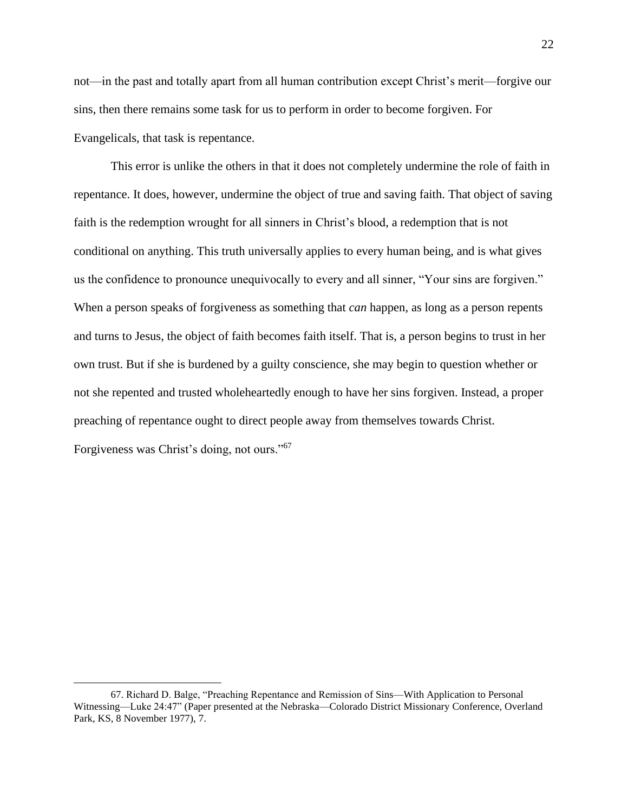not—in the past and totally apart from all human contribution except Christ's merit—forgive our sins, then there remains some task for us to perform in order to become forgiven. For Evangelicals, that task is repentance.

This error is unlike the others in that it does not completely undermine the role of faith in repentance. It does, however, undermine the object of true and saving faith. That object of saving faith is the redemption wrought for all sinners in Christ's blood, a redemption that is not conditional on anything. This truth universally applies to every human being, and is what gives us the confidence to pronounce unequivocally to every and all sinner, "Your sins are forgiven." When a person speaks of forgiveness as something that *can* happen, as long as a person repents and turns to Jesus, the object of faith becomes faith itself. That is, a person begins to trust in her own trust. But if she is burdened by a guilty conscience, she may begin to question whether or not she repented and trusted wholeheartedly enough to have her sins forgiven. Instead, a proper preaching of repentance ought to direct people away from themselves towards Christ. Forgiveness was Christ's doing, not ours."<sup>67</sup>

<sup>67.</sup> Richard D. Balge, "Preaching Repentance and Remission of Sins—With Application to Personal Witnessing—Luke 24:47" (Paper presented at the Nebraska—Colorado District Missionary Conference, Overland Park, KS, 8 November 1977), 7.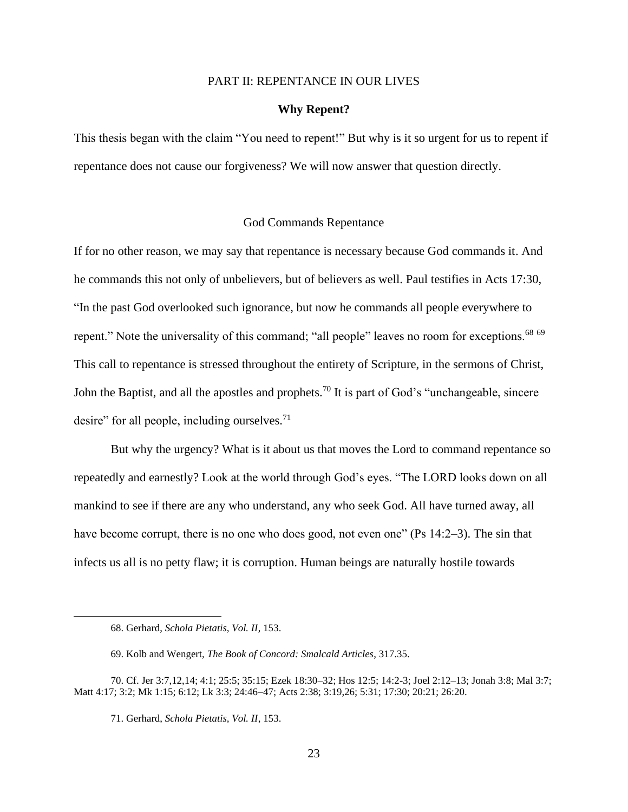#### PART II: REPENTANCE IN OUR LIVES

### **Why Repent?**

This thesis began with the claim "You need to repent!" But why is it so urgent for us to repent if repentance does not cause our forgiveness? We will now answer that question directly.

# God Commands Repentance

If for no other reason, we may say that repentance is necessary because God commands it. And he commands this not only of unbelievers, but of believers as well. Paul testifies in Acts 17:30, "In the past God overlooked such ignorance, but now he commands all people everywhere to repent." Note the universality of this command; "all people" leaves no room for exceptions.<sup>68 69</sup> This call to repentance is stressed throughout the entirety of Scripture, in the sermons of Christ, John the Baptist, and all the apostles and prophets.<sup>70</sup> It is part of God's "unchangeable, sincere desire" for all people, including ourselves.<sup>71</sup>

But why the urgency? What is it about us that moves the Lord to command repentance so repeatedly and earnestly? Look at the world through God's eyes. "The LORD looks down on all mankind to see if there are any who understand, any who seek God. All have turned away, all have become corrupt, there is no one who does good, not even one" (Ps 14:2–3). The sin that infects us all is no petty flaw; it is corruption. Human beings are naturally hostile towards

<sup>68.</sup> Gerhard, *Schola Pietatis, Vol. II*, 153.

<sup>69.</sup> Kolb and Wengert, *The Book of Concord: Smalcald Articles*, 317.35.

<sup>70.</sup> Cf. Jer 3:7,12,14; 4:1; 25:5; 35:15; Ezek 18:30–32; Hos 12:5; 14:2-3; Joel 2:12–13; Jonah 3:8; Mal 3:7; Matt 4:17; 3:2; Mk 1:15; 6:12; Lk 3:3; 24:46–47; Acts 2:38; 3:19,26; 5:31; 17:30; 20:21; 26:20.

<sup>71.</sup> Gerhard, *Schola Pietatis, Vol. II*, 153.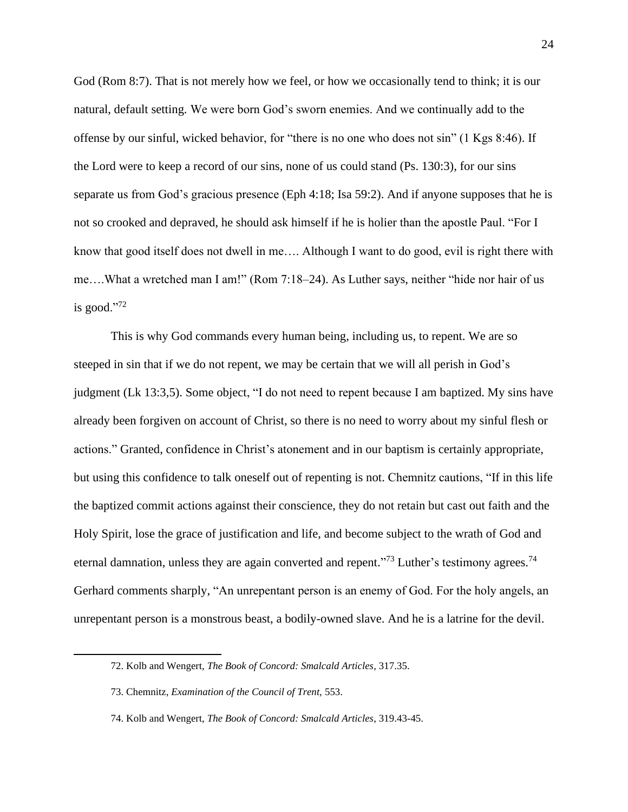God (Rom 8:7). That is not merely how we feel, or how we occasionally tend to think; it is our natural, default setting*.* We were born God's sworn enemies. And we continually add to the offense by our sinful, wicked behavior, for "there is no one who does not sin" (1 Kgs 8:46). If the Lord were to keep a record of our sins, none of us could stand (Ps. 130:3), for our sins separate us from God's gracious presence (Eph 4:18; Isa 59:2). And if anyone supposes that he is not so crooked and depraved, he should ask himself if he is holier than the apostle Paul. "For I know that good itself does not dwell in me…. Although I want to do good, evil is right there with me….What a wretched man I am!" (Rom 7:18–24). As Luther says, neither "hide nor hair of us is good." $72$ 

This is why God commands every human being, including us, to repent. We are so steeped in sin that if we do not repent, we may be certain that we will all perish in God's judgment (Lk 13:3,5). Some object, "I do not need to repent because I am baptized. My sins have already been forgiven on account of Christ, so there is no need to worry about my sinful flesh or actions." Granted, confidence in Christ's atonement and in our baptism is certainly appropriate, but using this confidence to talk oneself out of repenting is not. Chemnitz cautions, "If in this life the baptized commit actions against their conscience, they do not retain but cast out faith and the Holy Spirit, lose the grace of justification and life, and become subject to the wrath of God and eternal damnation, unless they are again converted and repent."<sup>73</sup> Luther's testimony agrees.<sup>74</sup> Gerhard comments sharply, "An unrepentant person is an enemy of God. For the holy angels, an unrepentant person is a monstrous beast, a bodily-owned slave. And he is a latrine for the devil.

<sup>72.</sup> Kolb and Wengert, *The Book of Concord: Smalcald Articles*, 317.35.

<sup>73.</sup> Chemnitz, *Examination of the Council of Trent,* 553.

<sup>74.</sup> Kolb and Wengert, *The Book of Concord: Smalcald Articles*, 319.43-45.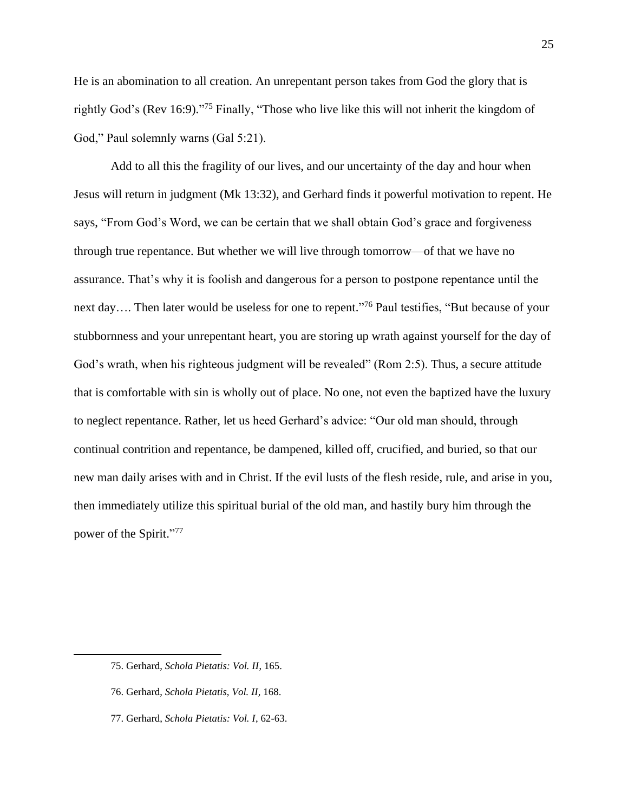He is an abomination to all creation. An unrepentant person takes from God the glory that is rightly God's (Rev 16:9)."<sup>75</sup> Finally, "Those who live like this will not inherit the kingdom of God," Paul solemnly warns (Gal 5:21).

Add to all this the fragility of our lives, and our uncertainty of the day and hour when Jesus will return in judgment (Mk 13:32), and Gerhard finds it powerful motivation to repent. He says, "From God's Word, we can be certain that we shall obtain God's grace and forgiveness through true repentance. But whether we will live through tomorrow—of that we have no assurance. That's why it is foolish and dangerous for a person to postpone repentance until the next day.... Then later would be useless for one to repent."<sup>76</sup> Paul testifies, "But because of your stubbornness and your unrepentant heart, you are storing up wrath against yourself for the day of God's wrath, when his righteous judgment will be revealed" (Rom 2:5). Thus, a secure attitude that is comfortable with sin is wholly out of place. No one, not even the baptized have the luxury to neglect repentance. Rather, let us heed Gerhard's advice: "Our old man should, through continual contrition and repentance, be dampened, killed off, crucified, and buried, so that our new man daily arises with and in Christ. If the evil lusts of the flesh reside, rule, and arise in you, then immediately utilize this spiritual burial of the old man, and hastily bury him through the power of the Spirit."<sup>77</sup>

- 76. Gerhard, *Schola Pietatis*, *Vol. II,* 168.
- 77. Gerhard, *Schola Pietatis: Vol. I*, 62-63.

<sup>75.</sup> Gerhard, *Schola Pietatis: Vol. II*, 165.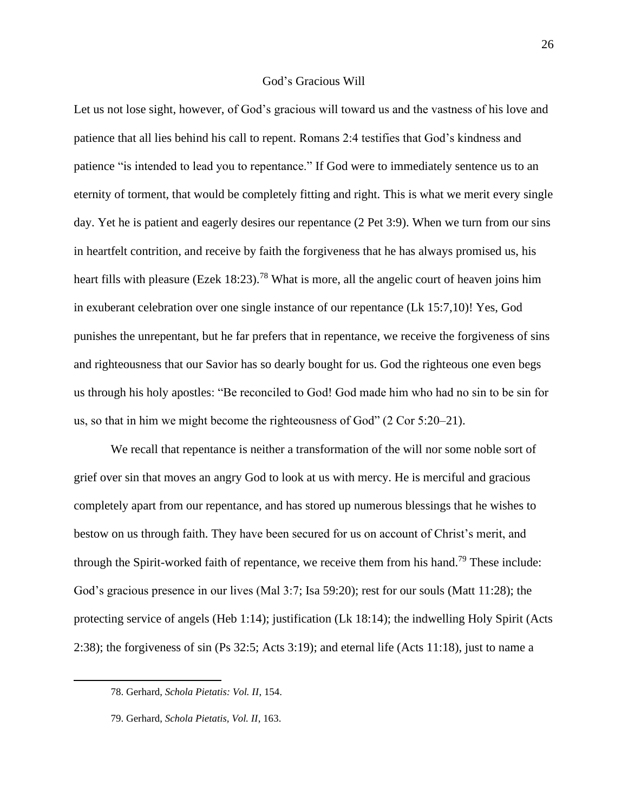# God's Gracious Will

Let us not lose sight, however, of God's gracious will toward us and the vastness of his love and patience that all lies behind his call to repent. Romans 2:4 testifies that God's kindness and patience "is intended to lead you to repentance." If God were to immediately sentence us to an eternity of torment, that would be completely fitting and right. This is what we merit every single day. Yet he is patient and eagerly desires our repentance (2 Pet 3:9). When we turn from our sins in heartfelt contrition, and receive by faith the forgiveness that he has always promised us, his heart fills with pleasure (Ezek 18:23).<sup>78</sup> What is more, all the angelic court of heaven joins him in exuberant celebration over one single instance of our repentance (Lk 15:7,10)! Yes, God punishes the unrepentant, but he far prefers that in repentance, we receive the forgiveness of sins and righteousness that our Savior has so dearly bought for us. God the righteous one even begs us through his holy apostles: "Be reconciled to God! God made him who had no sin to be sin for us, so that in him we might become the righteousness of God" (2 Cor 5:20–21).

We recall that repentance is neither a transformation of the will nor some noble sort of grief over sin that moves an angry God to look at us with mercy. He is merciful and gracious completely apart from our repentance, and has stored up numerous blessings that he wishes to bestow on us through faith. They have been secured for us on account of Christ's merit, and through the Spirit-worked faith of repentance, we receive them from his hand.<sup>79</sup> These include: God's gracious presence in our lives (Mal 3:7; Isa 59:20); rest for our souls (Matt 11:28); the protecting service of angels (Heb 1:14); justification (Lk 18:14); the indwelling Holy Spirit (Acts 2:38); the forgiveness of sin (Ps 32:5; Acts 3:19); and eternal life (Acts 11:18), just to name a

<sup>78.</sup> Gerhard, *Schola Pietatis: Vol. II*, 154.

<sup>79.</sup> Gerhard, *Schola Pietatis, Vol. II*, 163.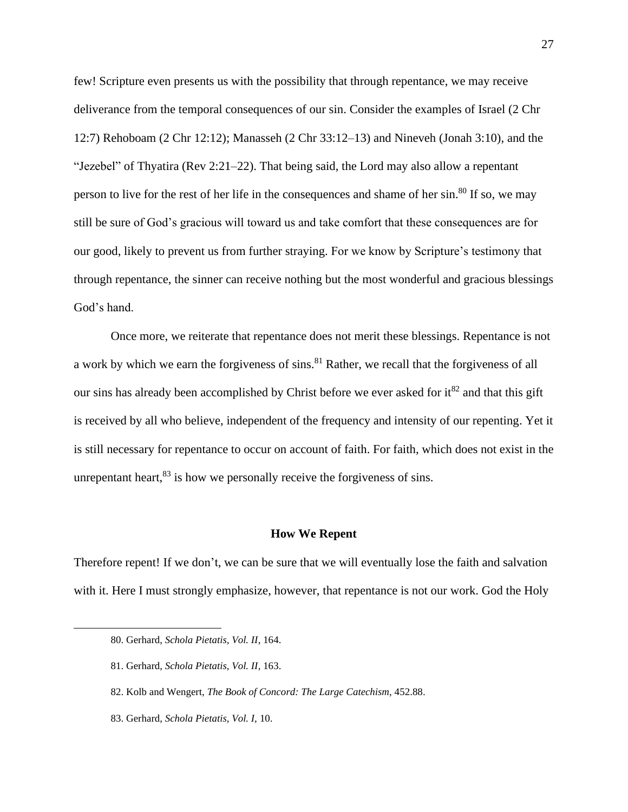few! Scripture even presents us with the possibility that through repentance, we may receive deliverance from the temporal consequences of our sin. Consider the examples of Israel (2 Chr 12:7) Rehoboam (2 Chr 12:12); Manasseh (2 Chr 33:12–13) and Nineveh (Jonah 3:10), and the "Jezebel" of Thyatira (Rev 2:21–22). That being said, the Lord may also allow a repentant person to live for the rest of her life in the consequences and shame of her sin.<sup>80</sup> If so, we may still be sure of God's gracious will toward us and take comfort that these consequences are for our good, likely to prevent us from further straying. For we know by Scripture's testimony that through repentance, the sinner can receive nothing but the most wonderful and gracious blessings God's hand.

Once more, we reiterate that repentance does not merit these blessings. Repentance is not a work by which we earn the forgiveness of sins.<sup>81</sup> Rather, we recall that the forgiveness of all our sins has already been accomplished by Christ before we ever asked for  $it^{82}$  and that this gift is received by all who believe, independent of the frequency and intensity of our repenting. Yet it is still necessary for repentance to occur on account of faith. For faith, which does not exist in the unrepentant heart, $^{83}$  is how we personally receive the forgiveness of sins.

#### **How We Repent**

Therefore repent! If we don't, we can be sure that we will eventually lose the faith and salvation with it. Here I must strongly emphasize, however, that repentance is not our work. God the Holy

<sup>80.</sup> Gerhard, *Schola Pietatis, Vol. II*, 164.

<sup>81.</sup> Gerhard, *Schola Pietatis, Vol. II*, 163.

<sup>82.</sup> Kolb and Wengert, *The Book of Concord: The Large Catechism*, 452.88.

<sup>83.</sup> Gerhard, *Schola Pietatis, Vol. I,* 10.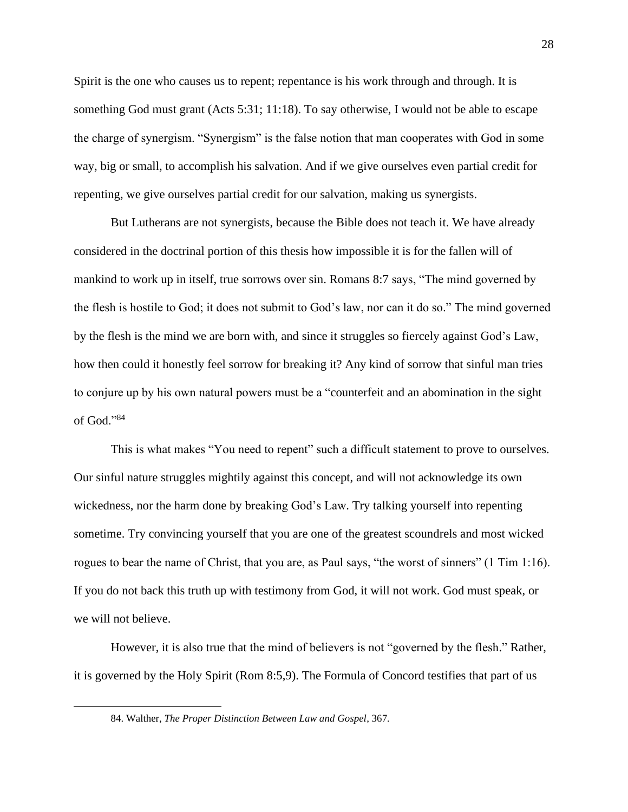Spirit is the one who causes us to repent; repentance is his work through and through. It is something God must grant (Acts 5:31; 11:18). To say otherwise, I would not be able to escape the charge of synergism. "Synergism" is the false notion that man cooperates with God in some way, big or small, to accomplish his salvation. And if we give ourselves even partial credit for repenting, we give ourselves partial credit for our salvation, making us synergists.

But Lutherans are not synergists, because the Bible does not teach it. We have already considered in the doctrinal portion of this thesis how impossible it is for the fallen will of mankind to work up in itself, true sorrows over sin. Romans 8:7 says, "The mind governed by the flesh is hostile to God; it does not submit to God's law, nor can it do so." The mind governed by the flesh is the mind we are born with, and since it struggles so fiercely against God's Law, how then could it honestly feel sorrow for breaking it? Any kind of sorrow that sinful man tries to conjure up by his own natural powers must be a "counterfeit and an abomination in the sight of God."<sup>84</sup>

This is what makes "You need to repent" such a difficult statement to prove to ourselves. Our sinful nature struggles mightily against this concept, and will not acknowledge its own wickedness, nor the harm done by breaking God's Law. Try talking yourself into repenting sometime. Try convincing yourself that you are one of the greatest scoundrels and most wicked rogues to bear the name of Christ, that you are, as Paul says, "the worst of sinners" (1 Tim 1:16). If you do not back this truth up with testimony from God, it will not work. God must speak, or we will not believe.

However, it is also true that the mind of believers is not "governed by the flesh." Rather, it is governed by the Holy Spirit (Rom 8:5,9). The Formula of Concord testifies that part of us

<sup>84.</sup> Walther, *The Proper Distinction Between Law and Gospel*, 367*.*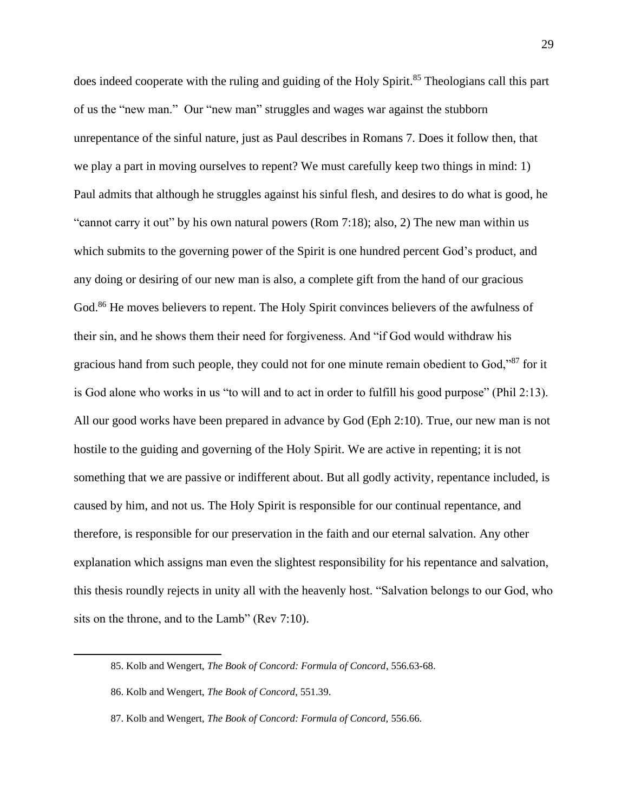does indeed cooperate with the ruling and guiding of the Holy Spirit.<sup>85</sup> Theologians call this part of us the "new man." Our "new man" struggles and wages war against the stubborn unrepentance of the sinful nature, just as Paul describes in Romans 7. Does it follow then, that we play a part in moving ourselves to repent? We must carefully keep two things in mind: 1) Paul admits that although he struggles against his sinful flesh, and desires to do what is good, he "cannot carry it out" by his own natural powers (Rom 7:18); also, 2) The new man within us which submits to the governing power of the Spirit is one hundred percent God's product, and any doing or desiring of our new man is also, a complete gift from the hand of our gracious God.<sup>86</sup> He moves believers to repent. The Holy Spirit convinces believers of the awfulness of their sin, and he shows them their need for forgiveness. And "if God would withdraw his gracious hand from such people, they could not for one minute remain obedient to God,"<sup>87</sup> for it is God alone who works in us "to will and to act in order to fulfill his good purpose" (Phil 2:13). All our good works have been prepared in advance by God (Eph 2:10). True, our new man is not hostile to the guiding and governing of the Holy Spirit. We are active in repenting; it is not something that we are passive or indifferent about. But all godly activity, repentance included, is caused by him, and not us. The Holy Spirit is responsible for our continual repentance, and therefore, is responsible for our preservation in the faith and our eternal salvation. Any other explanation which assigns man even the slightest responsibility for his repentance and salvation, this thesis roundly rejects in unity all with the heavenly host. "Salvation belongs to our God, who sits on the throne, and to the Lamb" (Rev 7:10).

<sup>85.</sup> Kolb and Wengert, *The Book of Concord: Formula of Concord*, 556.63-68.

<sup>86.</sup> Kolb and Wengert, *The Book of Concord*, 551.39.

<sup>87.</sup> Kolb and Wengert, *The Book of Concord: Formula of Concord,* 556.66.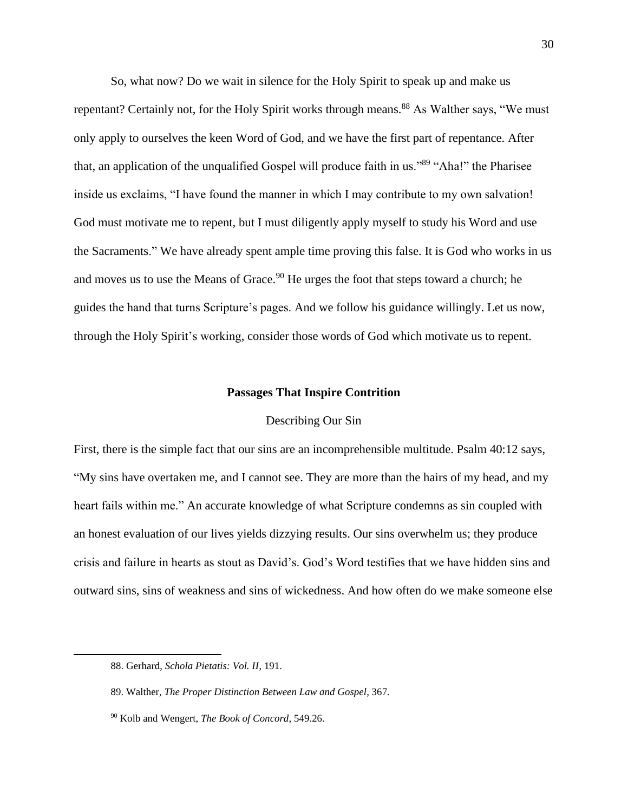So, what now? Do we wait in silence for the Holy Spirit to speak up and make us repentant? Certainly not, for the Holy Spirit works through means.<sup>88</sup> As Walther says, "We must only apply to ourselves the keen Word of God, and we have the first part of repentance. After that, an application of the unqualified Gospel will produce faith in us."<sup>89</sup> "Aha!" the Pharisee inside us exclaims, "I have found the manner in which I may contribute to my own salvation! God must motivate me to repent, but I must diligently apply myself to study his Word and use the Sacraments." We have already spent ample time proving this false. It is God who works in us and moves us to use the Means of Grace.<sup>90</sup> He urges the foot that steps toward a church; he guides the hand that turns Scripture's pages. And we follow his guidance willingly. Let us now, through the Holy Spirit's working, consider those words of God which motivate us to repent.

#### **Passages That Inspire Contrition**

### Describing Our Sin

First, there is the simple fact that our sins are an incomprehensible multitude. Psalm 40:12 says, "My sins have overtaken me, and I cannot see. They are more than the hairs of my head, and my heart fails within me." An accurate knowledge of what Scripture condemns as sin coupled with an honest evaluation of our lives yields dizzying results. Our sins overwhelm us; they produce crisis and failure in hearts as stout as David's. God's Word testifies that we have hidden sins and outward sins, sins of weakness and sins of wickedness. And how often do we make someone else

<sup>88.</sup> Gerhard, *Schola Pietatis: Vol. II*, 191.

<sup>89.</sup> Walther, *The Proper Distinction Between Law and Gospel*, 367*.*

<sup>90</sup> Kolb and Wengert, *The Book of Concord*, 549.26.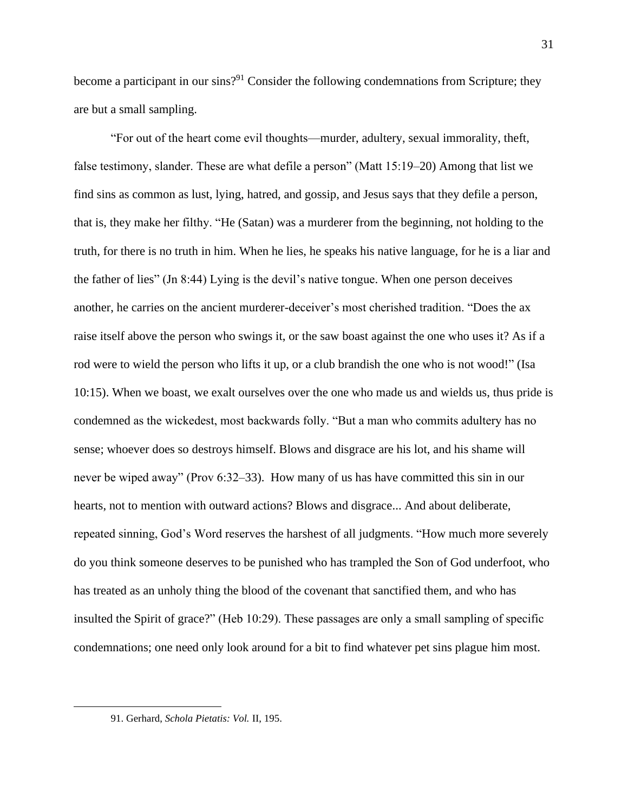become a participant in our sins?<sup>91</sup> Consider the following condemnations from Scripture; they are but a small sampling.

"For out of the heart come evil thoughts—murder, adultery, sexual immorality, theft, false testimony, slander. These are what defile a person" (Matt 15:19–20) Among that list we find sins as common as lust, lying, hatred, and gossip, and Jesus says that they defile a person, that is, they make her filthy. "He (Satan) was a murderer from the beginning, not holding to the truth, for there is no truth in him. When he lies, he speaks his native language, for he is a liar and the father of lies" (Jn 8:44) Lying is the devil's native tongue. When one person deceives another, he carries on the ancient murderer-deceiver's most cherished tradition. "Does the ax raise itself above the person who swings it, or the saw boast against the one who uses it? As if a rod were to wield the person who lifts it up, or a club brandish the one who is not wood!" (Isa 10:15). When we boast, we exalt ourselves over the one who made us and wields us, thus pride is condemned as the wickedest, most backwards folly. "But a man who commits adultery has no sense; whoever does so destroys himself. Blows and disgrace are his lot, and his shame will never be wiped away" (Prov 6:32–33). How many of us has have committed this sin in our hearts, not to mention with outward actions? Blows and disgrace... And about deliberate, repeated sinning, God's Word reserves the harshest of all judgments. "How much more severely do you think someone deserves to be punished who has trampled the Son of God underfoot, who has treated as an unholy thing the blood of the covenant that sanctified them, and who has insulted the Spirit of grace?" (Heb 10:29). These passages are only a small sampling of specific condemnations; one need only look around for a bit to find whatever pet sins plague him most.

<sup>91.</sup> Gerhard, *Schola Pietatis: Vol.* II, 195.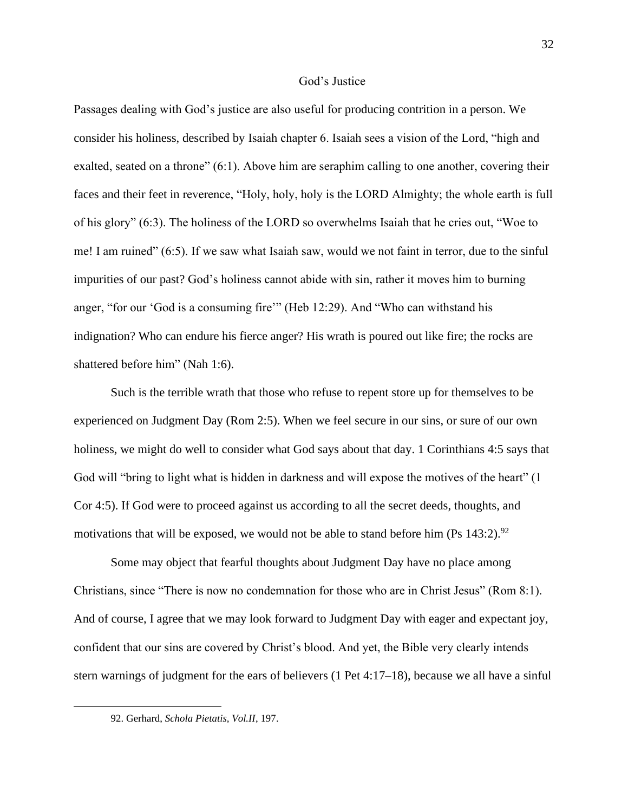#### God's Justice

Passages dealing with God's justice are also useful for producing contrition in a person. We consider his holiness, described by Isaiah chapter 6. Isaiah sees a vision of the Lord, "high and exalted, seated on a throne" (6:1). Above him are seraphim calling to one another, covering their faces and their feet in reverence, "Holy, holy, holy is the LORD Almighty; the whole earth is full of his glory" (6:3). The holiness of the LORD so overwhelms Isaiah that he cries out, "Woe to me! I am ruined" (6:5). If we saw what Isaiah saw, would we not faint in terror, due to the sinful impurities of our past? God's holiness cannot abide with sin, rather it moves him to burning anger, "for our 'God is a consuming fire'" (Heb 12:29). And "Who can withstand his indignation? Who can endure his fierce anger? His wrath is poured out like fire; the rocks are shattered before him" (Nah 1:6).

Such is the terrible wrath that those who refuse to repent store up for themselves to be experienced on Judgment Day (Rom 2:5). When we feel secure in our sins, or sure of our own holiness, we might do well to consider what God says about that day. 1 Corinthians 4:5 says that God will "bring to light what is hidden in darkness and will expose the motives of the heart" (1 Cor 4:5). If God were to proceed against us according to all the secret deeds, thoughts, and motivations that will be exposed, we would not be able to stand before him (Ps  $143:2$ ).<sup>92</sup>

Some may object that fearful thoughts about Judgment Day have no place among Christians, since "There is now no condemnation for those who are in Christ Jesus" (Rom 8:1). And of course, I agree that we may look forward to Judgment Day with eager and expectant joy, confident that our sins are covered by Christ's blood. And yet, the Bible very clearly intends stern warnings of judgment for the ears of believers (1 Pet 4:17–18), because we all have a sinful

<sup>92.</sup> Gerhard, *Schola Pietatis, Vol.II*, 197.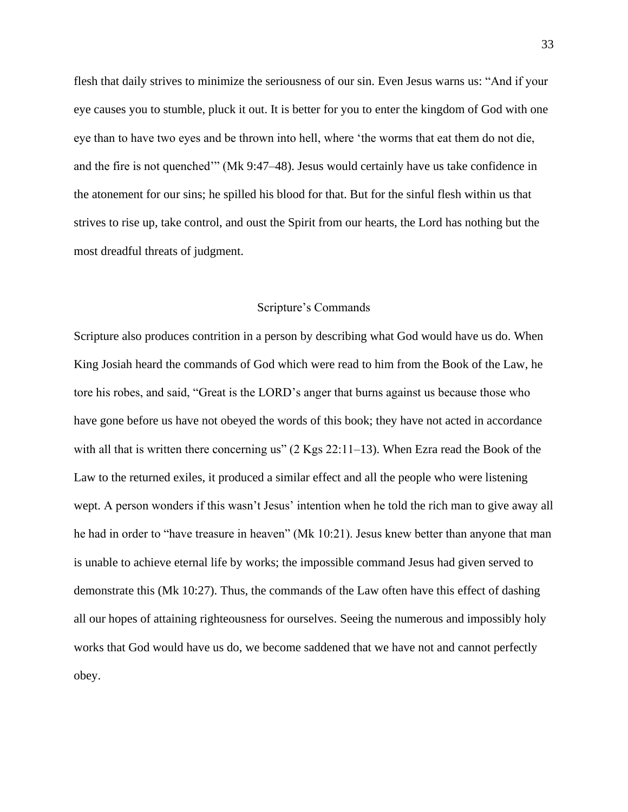flesh that daily strives to minimize the seriousness of our sin. Even Jesus warns us: "And if your eye causes you to stumble, pluck it out. It is better for you to enter the kingdom of God with one eye than to have two eyes and be thrown into hell, where 'the worms that eat them do not die, and the fire is not quenched'" (Mk 9:47–48). Jesus would certainly have us take confidence in the atonement for our sins; he spilled his blood for that. But for the sinful flesh within us that strives to rise up, take control, and oust the Spirit from our hearts, the Lord has nothing but the most dreadful threats of judgment.

#### Scripture's Commands

Scripture also produces contrition in a person by describing what God would have us do. When King Josiah heard the commands of God which were read to him from the Book of the Law, he tore his robes, and said, "Great is the LORD's anger that burns against us because those who have gone before us have not obeyed the words of this book; they have not acted in accordance with all that is written there concerning us" (2 Kgs 22:11–13). When Ezra read the Book of the Law to the returned exiles, it produced a similar effect and all the people who were listening wept. A person wonders if this wasn't Jesus' intention when he told the rich man to give away all he had in order to "have treasure in heaven" (Mk 10:21). Jesus knew better than anyone that man is unable to achieve eternal life by works; the impossible command Jesus had given served to demonstrate this (Mk 10:27). Thus, the commands of the Law often have this effect of dashing all our hopes of attaining righteousness for ourselves. Seeing the numerous and impossibly holy works that God would have us do, we become saddened that we have not and cannot perfectly obey.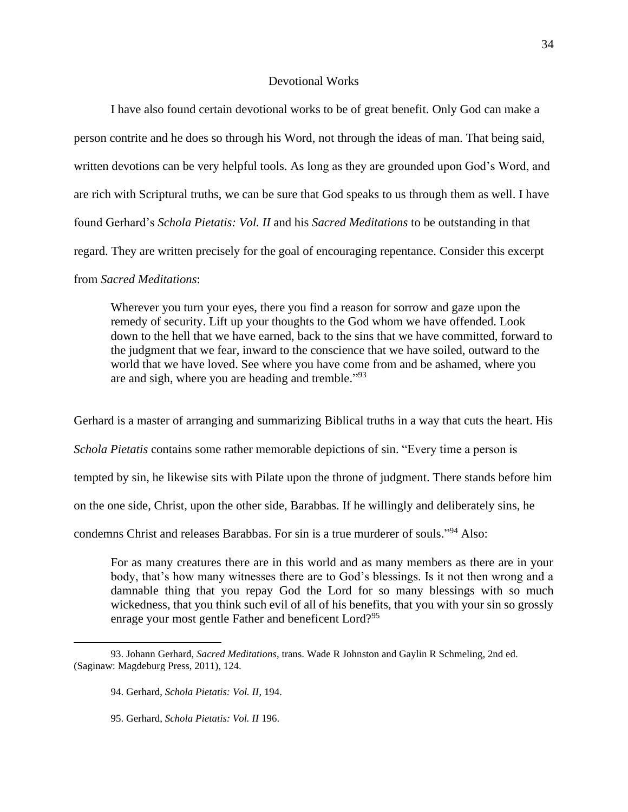# Devotional Works

I have also found certain devotional works to be of great benefit. Only God can make a person contrite and he does so through his Word, not through the ideas of man. That being said, written devotions can be very helpful tools. As long as they are grounded upon God's Word, and are rich with Scriptural truths, we can be sure that God speaks to us through them as well. I have found Gerhard's *Schola Pietatis: Vol. II* and his *Sacred Meditations* to be outstanding in that regard. They are written precisely for the goal of encouraging repentance. Consider this excerpt from *Sacred Meditations*:

Wherever you turn your eyes, there you find a reason for sorrow and gaze upon the remedy of security. Lift up your thoughts to the God whom we have offended. Look down to the hell that we have earned, back to the sins that we have committed, forward to the judgment that we fear, inward to the conscience that we have soiled, outward to the world that we have loved. See where you have come from and be ashamed, where you are and sigh, where you are heading and tremble."<sup>93</sup>

Gerhard is a master of arranging and summarizing Biblical truths in a way that cuts the heart. His *Schola Pietatis* contains some rather memorable depictions of sin. "Every time a person is tempted by sin, he likewise sits with Pilate upon the throne of judgment. There stands before him on the one side, Christ, upon the other side, Barabbas. If he willingly and deliberately sins, he condemns Christ and releases Barabbas. For sin is a true murderer of souls."<sup>94</sup> Also:

For as many creatures there are in this world and as many members as there are in your body, that's how many witnesses there are to God's blessings. Is it not then wrong and a damnable thing that you repay God the Lord for so many blessings with so much wickedness, that you think such evil of all of his benefits, that you with your sin so grossly enrage your most gentle Father and beneficent Lord?<sup>95</sup>

95. Gerhard, *Schola Pietatis: Vol. II* 196.

<sup>93.</sup> Johann Gerhard, *Sacred Meditations*, trans. Wade R Johnston and Gaylin R Schmeling, 2nd ed. (Saginaw: Magdeburg Press, 2011), 124.

<sup>94.</sup> Gerhard, *Schola Pietatis: Vol. II*, 194.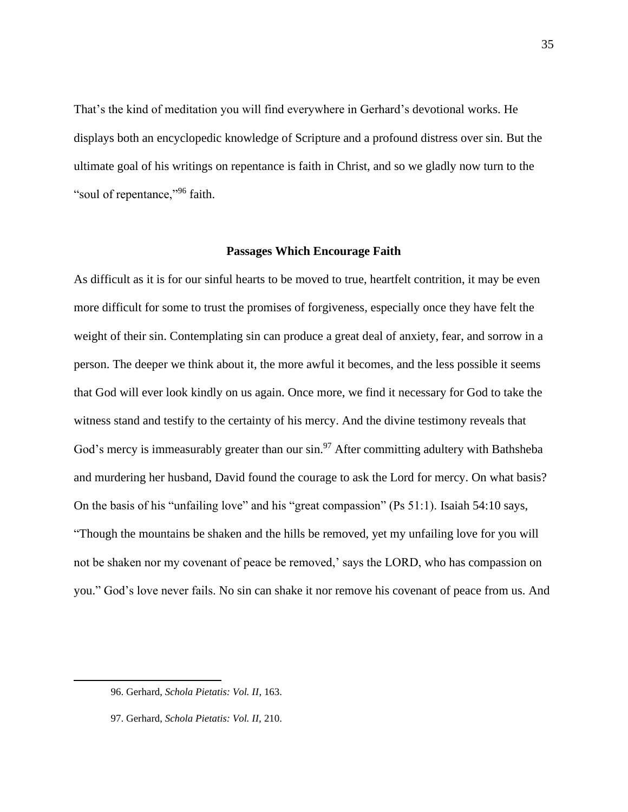That's the kind of meditation you will find everywhere in Gerhard's devotional works. He displays both an encyclopedic knowledge of Scripture and a profound distress over sin. But the ultimate goal of his writings on repentance is faith in Christ, and so we gladly now turn to the "soul of repentance,"<sup>96</sup> faith.

#### **Passages Which Encourage Faith**

As difficult as it is for our sinful hearts to be moved to true, heartfelt contrition, it may be even more difficult for some to trust the promises of forgiveness, especially once they have felt the weight of their sin. Contemplating sin can produce a great deal of anxiety, fear, and sorrow in a person. The deeper we think about it, the more awful it becomes, and the less possible it seems that God will ever look kindly on us again. Once more, we find it necessary for God to take the witness stand and testify to the certainty of his mercy. And the divine testimony reveals that God's mercy is immeasurably greater than our sin.<sup>97</sup> After committing adultery with Bathsheba and murdering her husband, David found the courage to ask the Lord for mercy. On what basis? On the basis of his "unfailing love" and his "great compassion" (Ps 51:1). Isaiah 54:10 says, "Though the mountains be shaken and the hills be removed, yet my unfailing love for you will not be shaken nor my covenant of peace be removed,' says the LORD, who has compassion on you." God's love never fails. No sin can shake it nor remove his covenant of peace from us. And

<sup>96.</sup> Gerhard, *Schola Pietatis: Vol. II*, 163.

<sup>97.</sup> Gerhard, *Schola Pietatis: Vol. II,* 210.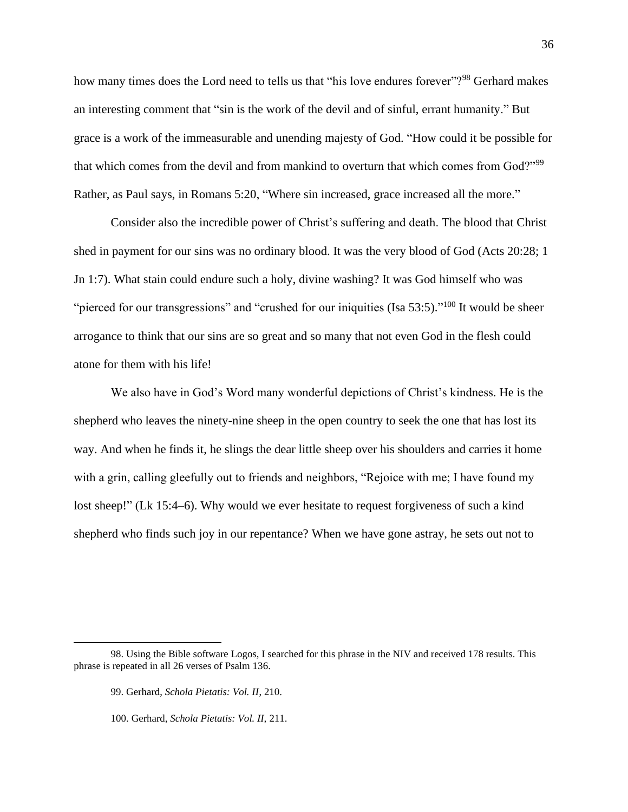how many times does the Lord need to tells us that "his love endures forever"?<sup>98</sup> Gerhard makes an interesting comment that "sin is the work of the devil and of sinful, errant humanity." But grace is a work of the immeasurable and unending majesty of God. "How could it be possible for that which comes from the devil and from mankind to overturn that which comes from God?"<sup>99</sup> Rather, as Paul says, in Romans 5:20, "Where sin increased, grace increased all the more."

Consider also the incredible power of Christ's suffering and death. The blood that Christ shed in payment for our sins was no ordinary blood. It was the very blood of God (Acts 20:28; 1 Jn 1:7). What stain could endure such a holy, divine washing? It was God himself who was "pierced for our transgressions" and "crushed for our iniquities (Isa  $53:5$ )."<sup>100</sup> It would be sheer arrogance to think that our sins are so great and so many that not even God in the flesh could atone for them with his life!

We also have in God's Word many wonderful depictions of Christ's kindness. He is the shepherd who leaves the ninety-nine sheep in the open country to seek the one that has lost its way. And when he finds it, he slings the dear little sheep over his shoulders and carries it home with a grin, calling gleefully out to friends and neighbors, "Rejoice with me; I have found my lost sheep!" (Lk 15:4–6). Why would we ever hesitate to request forgiveness of such a kind shepherd who finds such joy in our repentance? When we have gone astray, he sets out not to

<sup>98.</sup> Using the Bible software Logos, I searched for this phrase in the NIV and received 178 results. This phrase is repeated in all 26 verses of Psalm 136.

<sup>99.</sup> Gerhard, *Schola Pietatis: Vol. II*, 210.

<sup>100.</sup> Gerhard, *Schola Pietatis: Vol. II,* 211.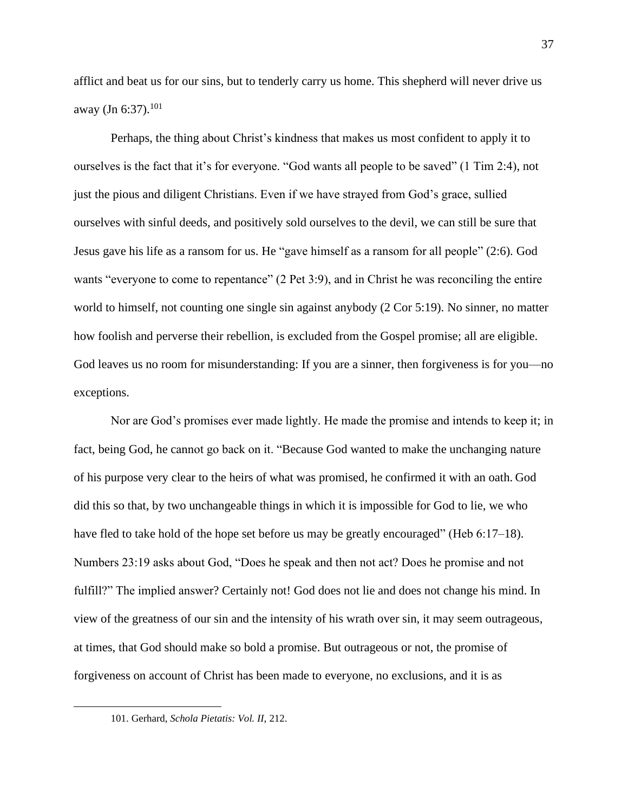afflict and beat us for our sins, but to tenderly carry us home. This shepherd will never drive us away (Jn 6:37).<sup>101</sup>

Perhaps, the thing about Christ's kindness that makes us most confident to apply it to ourselves is the fact that it's for everyone. "God wants all people to be saved" (1 Tim 2:4), not just the pious and diligent Christians. Even if we have strayed from God's grace, sullied ourselves with sinful deeds, and positively sold ourselves to the devil, we can still be sure that Jesus gave his life as a ransom for us. He "gave himself as a ransom for all people" (2:6). God wants "everyone to come to repentance" (2 Pet 3:9), and in Christ he was reconciling the entire world to himself, not counting one single sin against anybody (2 Cor 5:19). No sinner, no matter how foolish and perverse their rebellion, is excluded from the Gospel promise; all are eligible. God leaves us no room for misunderstanding: If you are a sinner, then forgiveness is for you—no exceptions.

Nor are God's promises ever made lightly. He made the promise and intends to keep it; in fact, being God, he cannot go back on it. "Because God wanted to make the unchanging nature of his purpose very clear to the heirs of what was promised, he confirmed it with an oath. God did this so that, by two unchangeable things in which it is impossible for God to lie, we who have fled to take hold of the hope set before us may be greatly encouraged" (Heb 6:17–18). Numbers 23:19 asks about God, "Does he speak and then not act? Does he promise and not fulfill?" The implied answer? Certainly not! God does not lie and does not change his mind. In view of the greatness of our sin and the intensity of his wrath over sin, it may seem outrageous, at times, that God should make so bold a promise. But outrageous or not, the promise of forgiveness on account of Christ has been made to everyone, no exclusions, and it is as

<sup>101.</sup> Gerhard, *Schola Pietatis: Vol. II,* 212.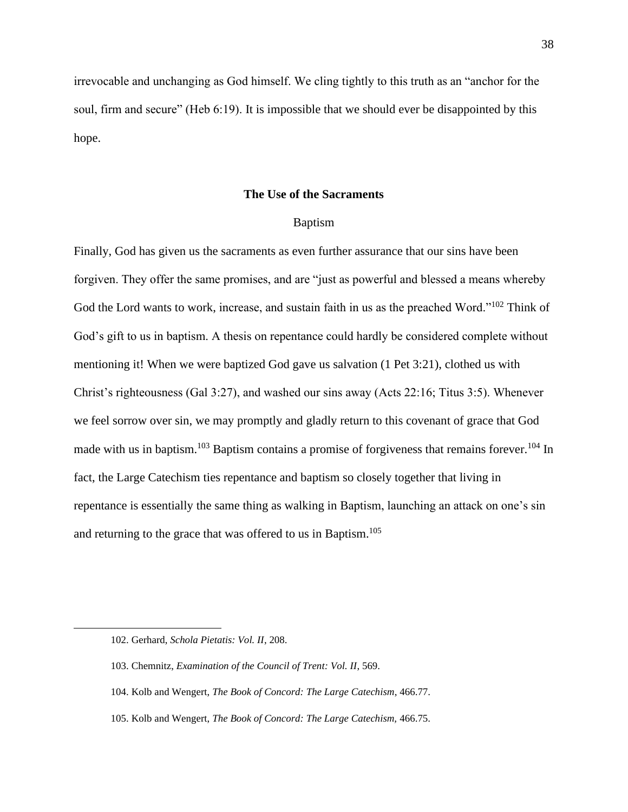irrevocable and unchanging as God himself. We cling tightly to this truth as an "anchor for the soul, firm and secure" (Heb 6:19). It is impossible that we should ever be disappointed by this hope.

# **The Use of the Sacraments**

#### Baptism

Finally, God has given us the sacraments as even further assurance that our sins have been forgiven. They offer the same promises, and are "just as powerful and blessed a means whereby God the Lord wants to work, increase, and sustain faith in us as the preached Word."<sup>102</sup> Think of God's gift to us in baptism. A thesis on repentance could hardly be considered complete without mentioning it! When we were baptized God gave us salvation (1 Pet 3:21), clothed us with Christ's righteousness (Gal 3:27), and washed our sins away (Acts 22:16; Titus 3:5). Whenever we feel sorrow over sin, we may promptly and gladly return to this covenant of grace that God made with us in baptism.<sup>103</sup> Baptism contains a promise of forgiveness that remains forever.<sup>104</sup> In fact, the Large Catechism ties repentance and baptism so closely together that living in repentance is essentially the same thing as walking in Baptism, launching an attack on one's sin and returning to the grace that was offered to us in Baptism.<sup>105</sup>

<sup>102.</sup> Gerhard, *Schola Pietatis: Vol. II*, 208.

<sup>103.</sup> Chemnitz, *Examination of the Council of Trent: Vol. II*, 569.

<sup>104.</sup> Kolb and Wengert, *The Book of Concord: The Large Catechism*, 466.77.

<sup>105.</sup> Kolb and Wengert, *The Book of Concord: The Large Catechism,* 466.75.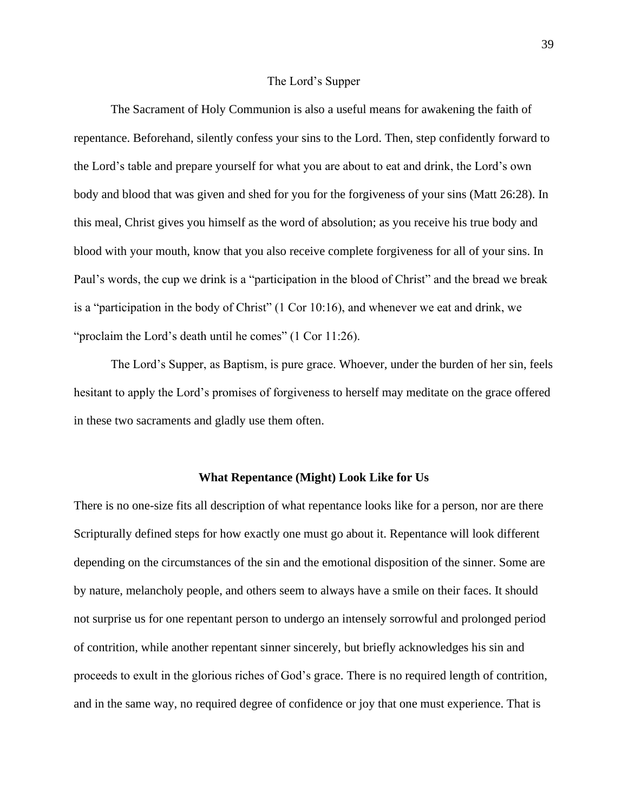#### The Lord's Supper

The Sacrament of Holy Communion is also a useful means for awakening the faith of repentance. Beforehand, silently confess your sins to the Lord. Then, step confidently forward to the Lord's table and prepare yourself for what you are about to eat and drink, the Lord's own body and blood that was given and shed for you for the forgiveness of your sins (Matt 26:28). In this meal, Christ gives you himself as the word of absolution; as you receive his true body and blood with your mouth, know that you also receive complete forgiveness for all of your sins. In Paul's words, the cup we drink is a "participation in the blood of Christ" and the bread we break is a "participation in the body of Christ" (1 Cor 10:16), and whenever we eat and drink, we "proclaim the Lord's death until he comes" (1 Cor 11:26).

The Lord's Supper, as Baptism, is pure grace. Whoever, under the burden of her sin, feels hesitant to apply the Lord's promises of forgiveness to herself may meditate on the grace offered in these two sacraments and gladly use them often.

#### **What Repentance (Might) Look Like for Us**

There is no one-size fits all description of what repentance looks like for a person, nor are there Scripturally defined steps for how exactly one must go about it. Repentance will look different depending on the circumstances of the sin and the emotional disposition of the sinner. Some are by nature, melancholy people, and others seem to always have a smile on their faces. It should not surprise us for one repentant person to undergo an intensely sorrowful and prolonged period of contrition, while another repentant sinner sincerely, but briefly acknowledges his sin and proceeds to exult in the glorious riches of God's grace. There is no required length of contrition, and in the same way, no required degree of confidence or joy that one must experience. That is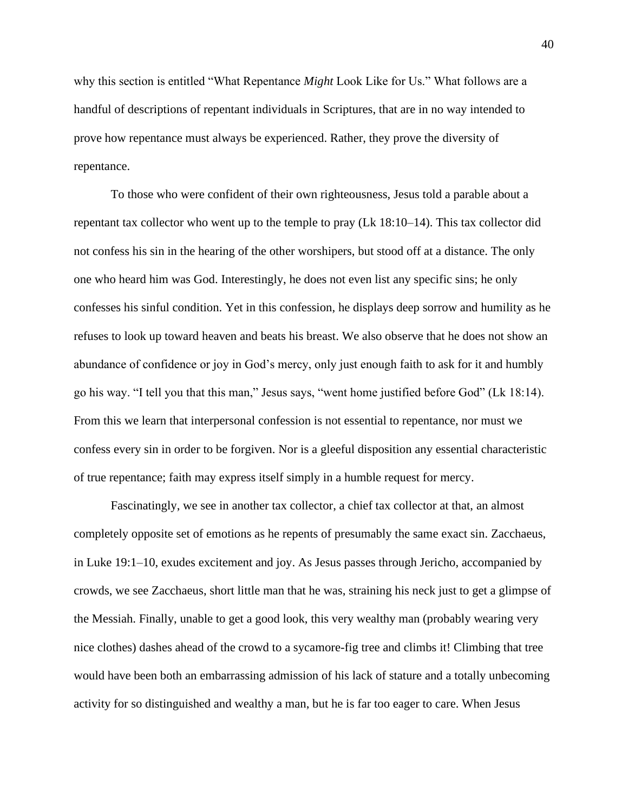why this section is entitled "What Repentance *Might* Look Like for Us." What follows are a handful of descriptions of repentant individuals in Scriptures, that are in no way intended to prove how repentance must always be experienced. Rather, they prove the diversity of repentance.

To those who were confident of their own righteousness, Jesus told a parable about a repentant tax collector who went up to the temple to pray (Lk 18:10–14). This tax collector did not confess his sin in the hearing of the other worshipers, but stood off at a distance. The only one who heard him was God. Interestingly, he does not even list any specific sins; he only confesses his sinful condition. Yet in this confession, he displays deep sorrow and humility as he refuses to look up toward heaven and beats his breast. We also observe that he does not show an abundance of confidence or joy in God's mercy, only just enough faith to ask for it and humbly go his way. "I tell you that this man," Jesus says, "went home justified before God" (Lk 18:14). From this we learn that interpersonal confession is not essential to repentance, nor must we confess every sin in order to be forgiven. Nor is a gleeful disposition any essential characteristic of true repentance; faith may express itself simply in a humble request for mercy.

Fascinatingly, we see in another tax collector, a chief tax collector at that, an almost completely opposite set of emotions as he repents of presumably the same exact sin. Zacchaeus, in Luke 19:1–10, exudes excitement and joy. As Jesus passes through Jericho, accompanied by crowds, we see Zacchaeus, short little man that he was, straining his neck just to get a glimpse of the Messiah. Finally, unable to get a good look, this very wealthy man (probably wearing very nice clothes) dashes ahead of the crowd to a sycamore-fig tree and climbs it! Climbing that tree would have been both an embarrassing admission of his lack of stature and a totally unbecoming activity for so distinguished and wealthy a man, but he is far too eager to care. When Jesus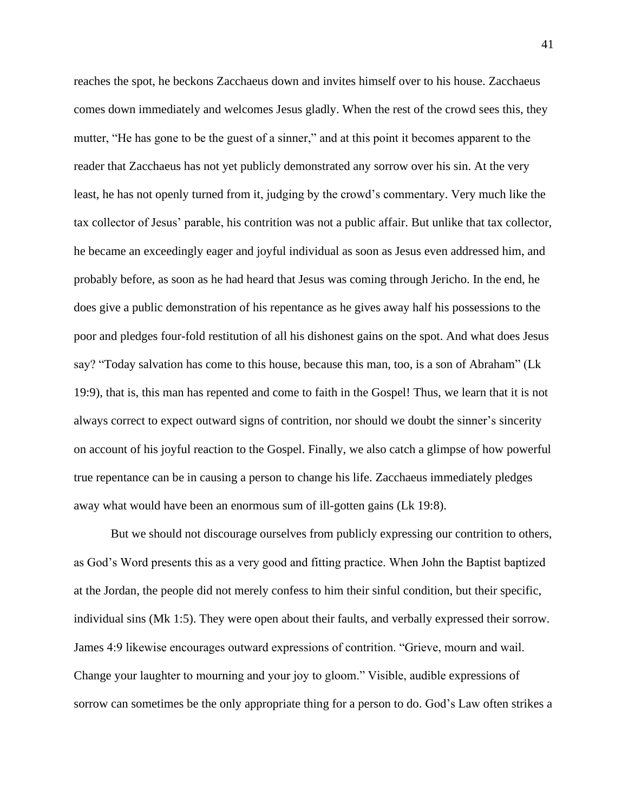reaches the spot, he beckons Zacchaeus down and invites himself over to his house. Zacchaeus comes down immediately and welcomes Jesus gladly. When the rest of the crowd sees this, they mutter, "He has gone to be the guest of a sinner," and at this point it becomes apparent to the reader that Zacchaeus has not yet publicly demonstrated any sorrow over his sin. At the very least, he has not openly turned from it, judging by the crowd's commentary. Very much like the tax collector of Jesus' parable, his contrition was not a public affair. But unlike that tax collector, he became an exceedingly eager and joyful individual as soon as Jesus even addressed him, and probably before, as soon as he had heard that Jesus was coming through Jericho. In the end, he does give a public demonstration of his repentance as he gives away half his possessions to the poor and pledges four-fold restitution of all his dishonest gains on the spot. And what does Jesus say? "Today salvation has come to this house, because this man, too, is a son of Abraham" (Lk 19:9), that is, this man has repented and come to faith in the Gospel! Thus, we learn that it is not always correct to expect outward signs of contrition, nor should we doubt the sinner's sincerity on account of his joyful reaction to the Gospel. Finally, we also catch a glimpse of how powerful true repentance can be in causing a person to change his life. Zacchaeus immediately pledges away what would have been an enormous sum of ill-gotten gains (Lk 19:8).

But we should not discourage ourselves from publicly expressing our contrition to others, as God's Word presents this as a very good and fitting practice. When John the Baptist baptized at the Jordan, the people did not merely confess to him their sinful condition, but their specific, individual sins (Mk 1:5). They were open about their faults, and verbally expressed their sorrow. James 4:9 likewise encourages outward expressions of contrition. "Grieve, mourn and wail. Change your laughter to mourning and your joy to gloom." Visible, audible expressions of sorrow can sometimes be the only appropriate thing for a person to do. God's Law often strikes a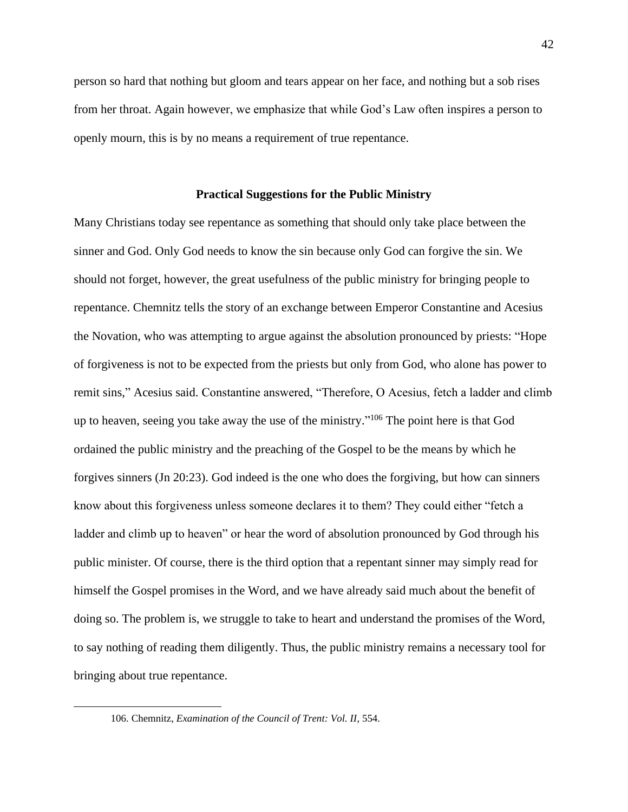person so hard that nothing but gloom and tears appear on her face, and nothing but a sob rises from her throat. Again however, we emphasize that while God's Law often inspires a person to openly mourn, this is by no means a requirement of true repentance.

#### **Practical Suggestions for the Public Ministry**

Many Christians today see repentance as something that should only take place between the sinner and God. Only God needs to know the sin because only God can forgive the sin. We should not forget, however, the great usefulness of the public ministry for bringing people to repentance. Chemnitz tells the story of an exchange between Emperor Constantine and Acesius the Novation, who was attempting to argue against the absolution pronounced by priests: "Hope of forgiveness is not to be expected from the priests but only from God, who alone has power to remit sins," Acesius said. Constantine answered, "Therefore, O Acesius, fetch a ladder and climb up to heaven, seeing you take away the use of the ministry." <sup>106</sup> The point here is that God ordained the public ministry and the preaching of the Gospel to be the means by which he forgives sinners (Jn 20:23). God indeed is the one who does the forgiving, but how can sinners know about this forgiveness unless someone declares it to them? They could either "fetch a ladder and climb up to heaven" or hear the word of absolution pronounced by God through his public minister. Of course, there is the third option that a repentant sinner may simply read for himself the Gospel promises in the Word, and we have already said much about the benefit of doing so. The problem is, we struggle to take to heart and understand the promises of the Word, to say nothing of reading them diligently. Thus, the public ministry remains a necessary tool for bringing about true repentance.

<sup>106.</sup> Chemnitz, *Examination of the Council of Trent: Vol. II*, 554.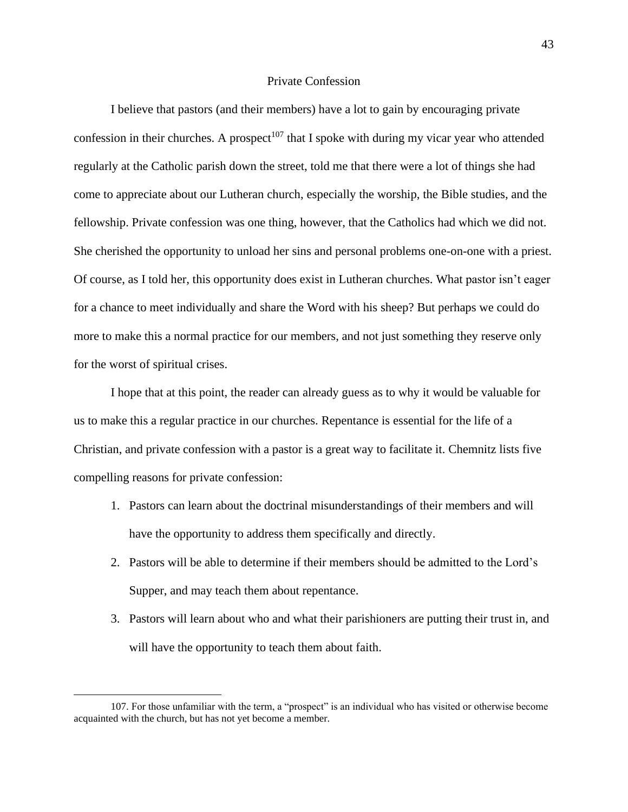# Private Confession

I believe that pastors (and their members) have a lot to gain by encouraging private confession in their churches. A prospect<sup>107</sup> that I spoke with during my vicar year who attended regularly at the Catholic parish down the street, told me that there were a lot of things she had come to appreciate about our Lutheran church, especially the worship, the Bible studies, and the fellowship. Private confession was one thing, however, that the Catholics had which we did not. She cherished the opportunity to unload her sins and personal problems one-on-one with a priest. Of course, as I told her, this opportunity does exist in Lutheran churches. What pastor isn't eager for a chance to meet individually and share the Word with his sheep? But perhaps we could do more to make this a normal practice for our members, and not just something they reserve only for the worst of spiritual crises.

I hope that at this point, the reader can already guess as to why it would be valuable for us to make this a regular practice in our churches. Repentance is essential for the life of a Christian, and private confession with a pastor is a great way to facilitate it. Chemnitz lists five compelling reasons for private confession:

- 1. Pastors can learn about the doctrinal misunderstandings of their members and will have the opportunity to address them specifically and directly.
- 2. Pastors will be able to determine if their members should be admitted to the Lord's Supper, and may teach them about repentance.
- 3. Pastors will learn about who and what their parishioners are putting their trust in, and will have the opportunity to teach them about faith.

<sup>107.</sup> For those unfamiliar with the term, a "prospect" is an individual who has visited or otherwise become acquainted with the church, but has not yet become a member.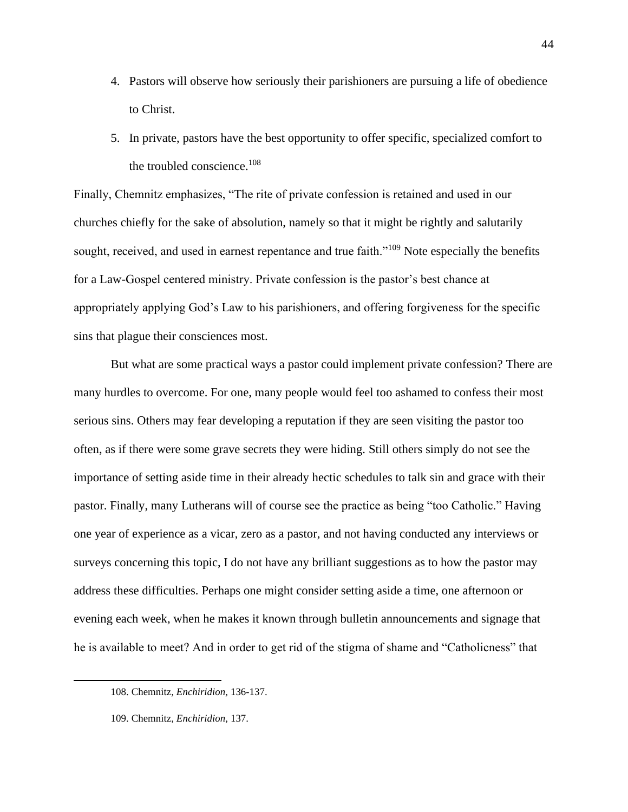- 4. Pastors will observe how seriously their parishioners are pursuing a life of obedience to Christ.
- 5. In private, pastors have the best opportunity to offer specific, specialized comfort to the troubled conscience.<sup>108</sup>

Finally, Chemnitz emphasizes, "The rite of private confession is retained and used in our churches chiefly for the sake of absolution, namely so that it might be rightly and salutarily sought, received, and used in earnest repentance and true faith."<sup>109</sup> Note especially the benefits for a Law-Gospel centered ministry. Private confession is the pastor's best chance at appropriately applying God's Law to his parishioners, and offering forgiveness for the specific sins that plague their consciences most.

But what are some practical ways a pastor could implement private confession? There are many hurdles to overcome. For one, many people would feel too ashamed to confess their most serious sins. Others may fear developing a reputation if they are seen visiting the pastor too often, as if there were some grave secrets they were hiding. Still others simply do not see the importance of setting aside time in their already hectic schedules to talk sin and grace with their pastor. Finally, many Lutherans will of course see the practice as being "too Catholic." Having one year of experience as a vicar, zero as a pastor, and not having conducted any interviews or surveys concerning this topic, I do not have any brilliant suggestions as to how the pastor may address these difficulties. Perhaps one might consider setting aside a time, one afternoon or evening each week, when he makes it known through bulletin announcements and signage that he is available to meet? And in order to get rid of the stigma of shame and "Catholicness" that

<sup>108.</sup> Chemnitz, *Enchiridion,* 136-137.

<sup>109.</sup> Chemnitz, *Enchiridion,* 137.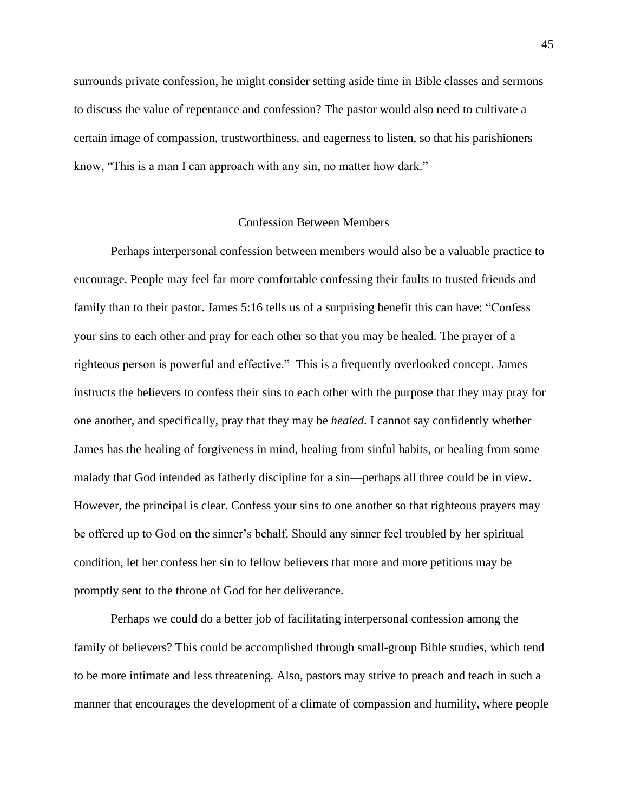surrounds private confession, he might consider setting aside time in Bible classes and sermons to discuss the value of repentance and confession? The pastor would also need to cultivate a certain image of compassion, trustworthiness, and eagerness to listen, so that his parishioners know, "This is a man I can approach with any sin, no matter how dark."

# Confession Between Members

Perhaps interpersonal confession between members would also be a valuable practice to encourage. People may feel far more comfortable confessing their faults to trusted friends and family than to their pastor. James 5:16 tells us of a surprising benefit this can have: "Confess your sins to each other and pray for each other so that you may be healed. The prayer of a righteous person is powerful and effective." This is a frequently overlooked concept. James instructs the believers to confess their sins to each other with the purpose that they may pray for one another, and specifically, pray that they may be *healed*. I cannot say confidently whether James has the healing of forgiveness in mind, healing from sinful habits, or healing from some malady that God intended as fatherly discipline for a sin—perhaps all three could be in view. However, the principal is clear. Confess your sins to one another so that righteous prayers may be offered up to God on the sinner's behalf. Should any sinner feel troubled by her spiritual condition, let her confess her sin to fellow believers that more and more petitions may be promptly sent to the throne of God for her deliverance.

Perhaps we could do a better job of facilitating interpersonal confession among the family of believers? This could be accomplished through small-group Bible studies, which tend to be more intimate and less threatening. Also, pastors may strive to preach and teach in such a manner that encourages the development of a climate of compassion and humility, where people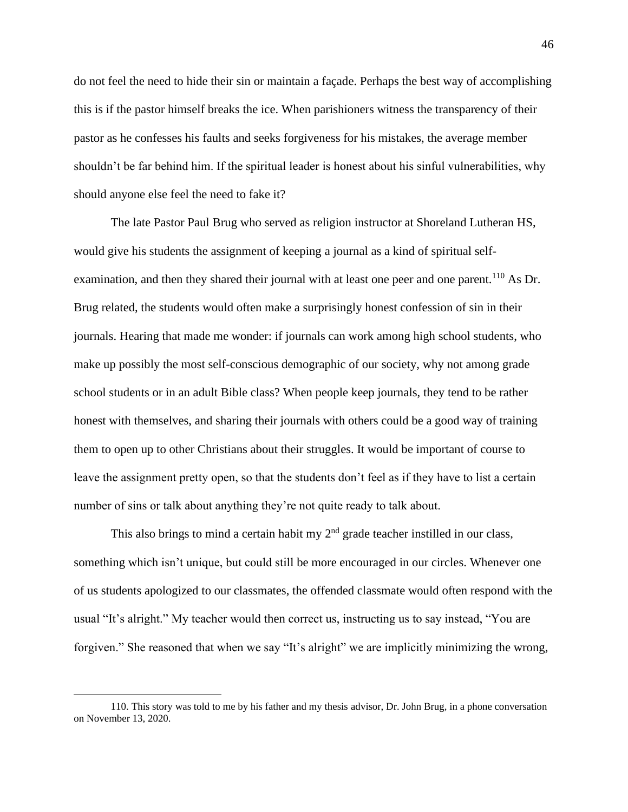do not feel the need to hide their sin or maintain a façade. Perhaps the best way of accomplishing this is if the pastor himself breaks the ice. When parishioners witness the transparency of their pastor as he confesses his faults and seeks forgiveness for his mistakes, the average member shouldn't be far behind him. If the spiritual leader is honest about his sinful vulnerabilities, why should anyone else feel the need to fake it?

The late Pastor Paul Brug who served as religion instructor at Shoreland Lutheran HS, would give his students the assignment of keeping a journal as a kind of spiritual selfexamination, and then they shared their journal with at least one peer and one parent.<sup>110</sup> As Dr. Brug related, the students would often make a surprisingly honest confession of sin in their journals. Hearing that made me wonder: if journals can work among high school students, who make up possibly the most self-conscious demographic of our society, why not among grade school students or in an adult Bible class? When people keep journals, they tend to be rather honest with themselves, and sharing their journals with others could be a good way of training them to open up to other Christians about their struggles. It would be important of course to leave the assignment pretty open, so that the students don't feel as if they have to list a certain number of sins or talk about anything they're not quite ready to talk about.

This also brings to mind a certain habit my  $2<sup>nd</sup>$  grade teacher instilled in our class, something which isn't unique, but could still be more encouraged in our circles. Whenever one of us students apologized to our classmates, the offended classmate would often respond with the usual "It's alright." My teacher would then correct us, instructing us to say instead, "You are forgiven." She reasoned that when we say "It's alright" we are implicitly minimizing the wrong,

<sup>110.</sup> This story was told to me by his father and my thesis advisor, Dr. John Brug, in a phone conversation on November 13, 2020.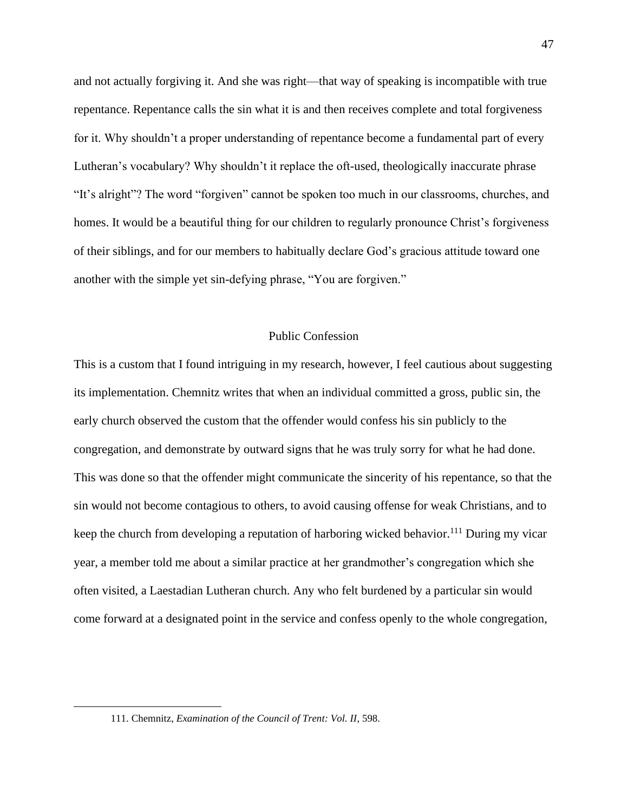and not actually forgiving it. And she was right—that way of speaking is incompatible with true repentance. Repentance calls the sin what it is and then receives complete and total forgiveness for it. Why shouldn't a proper understanding of repentance become a fundamental part of every Lutheran's vocabulary? Why shouldn't it replace the oft-used, theologically inaccurate phrase "It's alright"? The word "forgiven" cannot be spoken too much in our classrooms, churches, and homes. It would be a beautiful thing for our children to regularly pronounce Christ's forgiveness of their siblings, and for our members to habitually declare God's gracious attitude toward one another with the simple yet sin-defying phrase, "You are forgiven."

# Public Confession

This is a custom that I found intriguing in my research, however, I feel cautious about suggesting its implementation. Chemnitz writes that when an individual committed a gross, public sin, the early church observed the custom that the offender would confess his sin publicly to the congregation, and demonstrate by outward signs that he was truly sorry for what he had done. This was done so that the offender might communicate the sincerity of his repentance, so that the sin would not become contagious to others, to avoid causing offense for weak Christians, and to keep the church from developing a reputation of harboring wicked behavior.<sup>111</sup> During my vicar year, a member told me about a similar practice at her grandmother's congregation which she often visited, a Laestadian Lutheran church. Any who felt burdened by a particular sin would come forward at a designated point in the service and confess openly to the whole congregation,

<sup>111.</sup> Chemnitz, *Examination of the Council of Trent: Vol. II*, 598.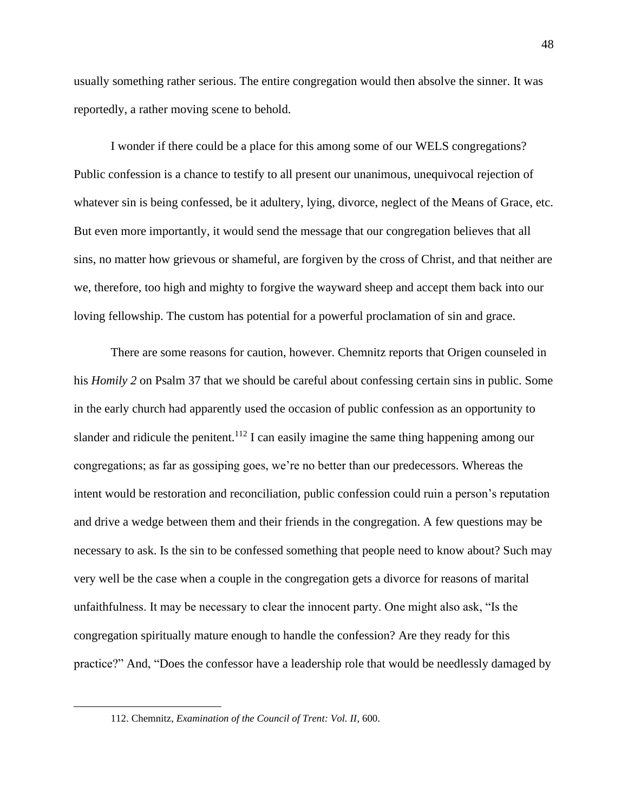usually something rather serious. The entire congregation would then absolve the sinner. It was reportedly, a rather moving scene to behold.

I wonder if there could be a place for this among some of our WELS congregations? Public confession is a chance to testify to all present our unanimous, unequivocal rejection of whatever sin is being confessed, be it adultery, lying, divorce, neglect of the Means of Grace, etc. But even more importantly, it would send the message that our congregation believes that all sins, no matter how grievous or shameful, are forgiven by the cross of Christ, and that neither are we, therefore, too high and mighty to forgive the wayward sheep and accept them back into our loving fellowship. The custom has potential for a powerful proclamation of sin and grace.

There are some reasons for caution, however. Chemnitz reports that Origen counseled in his *Homily 2* on Psalm 37 that we should be careful about confessing certain sins in public. Some in the early church had apparently used the occasion of public confession as an opportunity to slander and ridicule the penitent.<sup>112</sup> I can easily imagine the same thing happening among our congregations; as far as gossiping goes, we're no better than our predecessors. Whereas the intent would be restoration and reconciliation, public confession could ruin a person's reputation and drive a wedge between them and their friends in the congregation. A few questions may be necessary to ask. Is the sin to be confessed something that people need to know about? Such may very well be the case when a couple in the congregation gets a divorce for reasons of marital unfaithfulness. It may be necessary to clear the innocent party. One might also ask, "Is the congregation spiritually mature enough to handle the confession? Are they ready for this practice?" And, "Does the confessor have a leadership role that would be needlessly damaged by

<sup>112.</sup> Chemnitz, *Examination of the Council of Trent: Vol. II*, 600.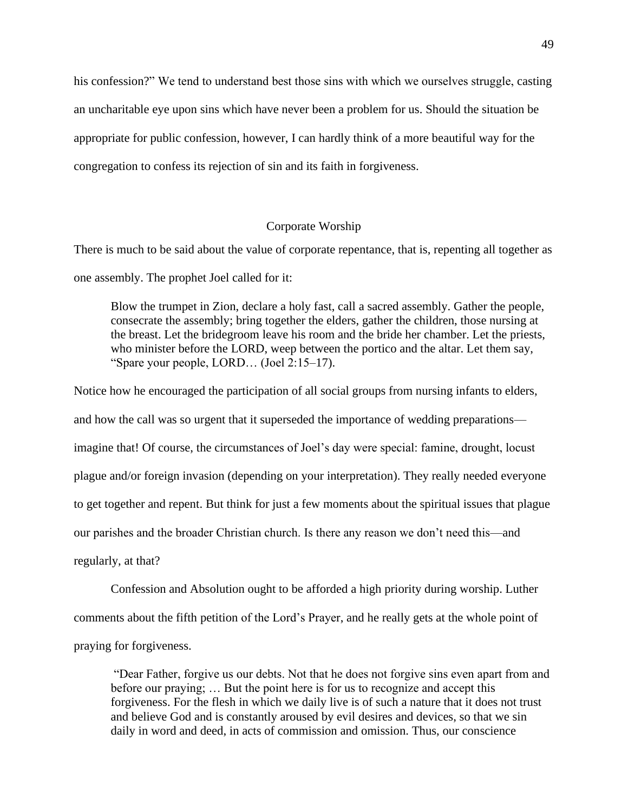his confession?" We tend to understand best those sins with which we ourselves struggle, casting an uncharitable eye upon sins which have never been a problem for us. Should the situation be appropriate for public confession, however, I can hardly think of a more beautiful way for the congregation to confess its rejection of sin and its faith in forgiveness.

# Corporate Worship

There is much to be said about the value of corporate repentance, that is, repenting all together as one assembly. The prophet Joel called for it:

Blow the trumpet in Zion, declare a holy fast, call a sacred assembly. Gather the people, consecrate the assembly; bring together the elders, gather the children, those nursing at the breast. Let the bridegroom leave his room and the bride her chamber. Let the priests, who minister before the LORD, weep between the portico and the altar. Let them say, "Spare your people, LORD… (Joel 2:15–17).

Notice how he encouraged the participation of all social groups from nursing infants to elders, and how the call was so urgent that it superseded the importance of wedding preparations imagine that! Of course, the circumstances of Joel's day were special: famine, drought, locust plague and/or foreign invasion (depending on your interpretation). They really needed everyone to get together and repent. But think for just a few moments about the spiritual issues that plague our parishes and the broader Christian church. Is there any reason we don't need this—and regularly, at that?

Confession and Absolution ought to be afforded a high priority during worship. Luther comments about the fifth petition of the Lord's Prayer, and he really gets at the whole point of praying for forgiveness.

"Dear Father, forgive us our debts. Not that he does not forgive sins even apart from and before our praying; … But the point here is for us to recognize and accept this forgiveness. For the flesh in which we daily live is of such a nature that it does not trust and believe God and is constantly aroused by evil desires and devices, so that we sin daily in word and deed, in acts of commission and omission. Thus, our conscience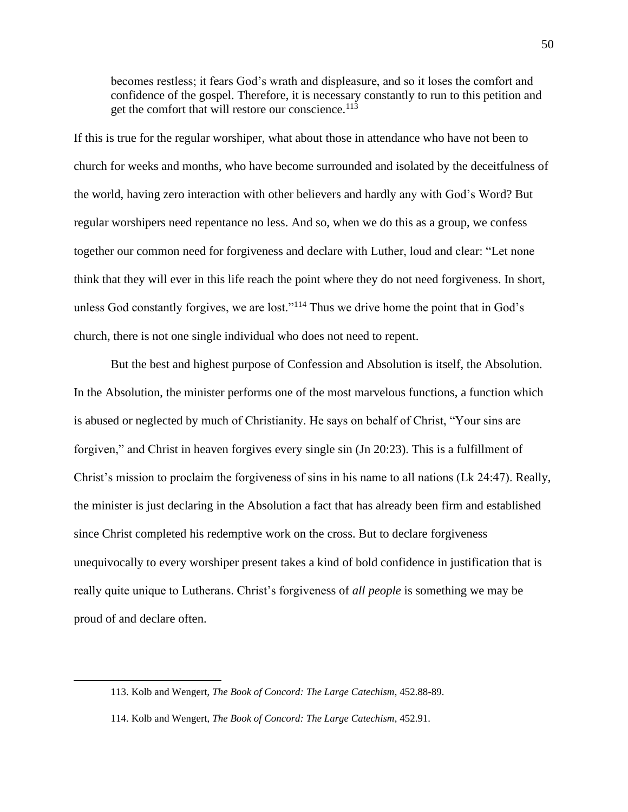becomes restless; it fears God's wrath and displeasure, and so it loses the comfort and confidence of the gospel. Therefore, it is necessary constantly to run to this petition and get the comfort that will restore our conscience.<sup>113</sup>

If this is true for the regular worshiper, what about those in attendance who have not been to church for weeks and months, who have become surrounded and isolated by the deceitfulness of the world, having zero interaction with other believers and hardly any with God's Word? But regular worshipers need repentance no less. And so, when we do this as a group, we confess together our common need for forgiveness and declare with Luther, loud and clear: "Let none think that they will ever in this life reach the point where they do not need forgiveness. In short, unless God constantly forgives, we are lost."<sup>114</sup> Thus we drive home the point that in God's church, there is not one single individual who does not need to repent.

But the best and highest purpose of Confession and Absolution is itself, the Absolution. In the Absolution, the minister performs one of the most marvelous functions, a function which is abused or neglected by much of Christianity. He says on behalf of Christ, "Your sins are forgiven," and Christ in heaven forgives every single sin (Jn 20:23). This is a fulfillment of Christ's mission to proclaim the forgiveness of sins in his name to all nations (Lk 24:47). Really, the minister is just declaring in the Absolution a fact that has already been firm and established since Christ completed his redemptive work on the cross. But to declare forgiveness unequivocally to every worshiper present takes a kind of bold confidence in justification that is really quite unique to Lutherans. Christ's forgiveness of *all people* is something we may be proud of and declare often.

<sup>113.</sup> Kolb and Wengert, *The Book of Concord: The Large Catechism*, 452.88-89.

<sup>114.</sup> Kolb and Wengert, *The Book of Concord: The Large Catechism*, 452.91.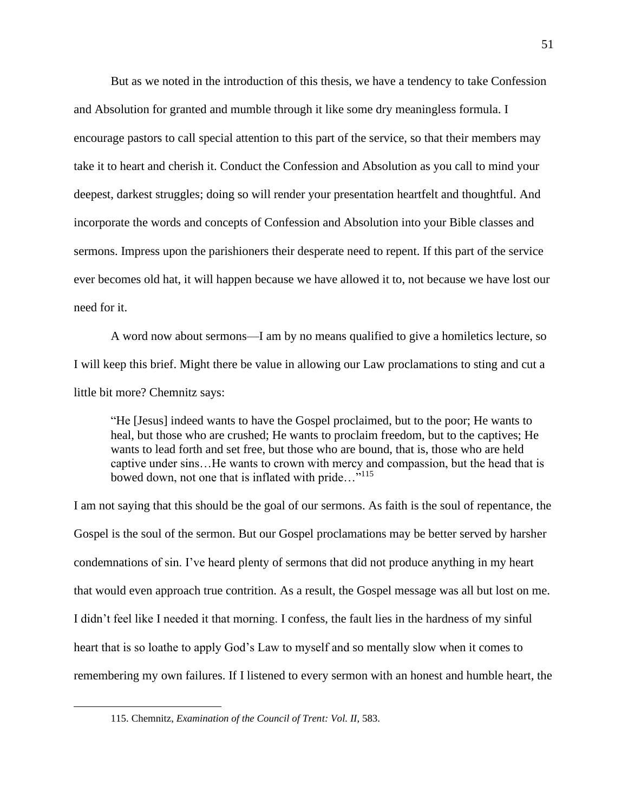But as we noted in the introduction of this thesis, we have a tendency to take Confession and Absolution for granted and mumble through it like some dry meaningless formula. I encourage pastors to call special attention to this part of the service, so that their members may take it to heart and cherish it. Conduct the Confession and Absolution as you call to mind your deepest, darkest struggles; doing so will render your presentation heartfelt and thoughtful. And incorporate the words and concepts of Confession and Absolution into your Bible classes and sermons. Impress upon the parishioners their desperate need to repent. If this part of the service ever becomes old hat, it will happen because we have allowed it to, not because we have lost our need for it.

A word now about sermons—I am by no means qualified to give a homiletics lecture, so I will keep this brief. Might there be value in allowing our Law proclamations to sting and cut a little bit more? Chemnitz says:

"He [Jesus] indeed wants to have the Gospel proclaimed, but to the poor; He wants to heal, but those who are crushed; He wants to proclaim freedom, but to the captives; He wants to lead forth and set free, but those who are bound, that is, those who are held captive under sins…He wants to crown with mercy and compassion, but the head that is bowed down, not one that is inflated with pride..."<sup>115</sup>

I am not saying that this should be the goal of our sermons. As faith is the soul of repentance, the Gospel is the soul of the sermon. But our Gospel proclamations may be better served by harsher condemnations of sin. I've heard plenty of sermons that did not produce anything in my heart that would even approach true contrition. As a result, the Gospel message was all but lost on me. I didn't feel like I needed it that morning. I confess, the fault lies in the hardness of my sinful heart that is so loathe to apply God's Law to myself and so mentally slow when it comes to remembering my own failures. If I listened to every sermon with an honest and humble heart, the

<sup>115.</sup> Chemnitz, *Examination of the Council of Trent: Vol. II*, 583.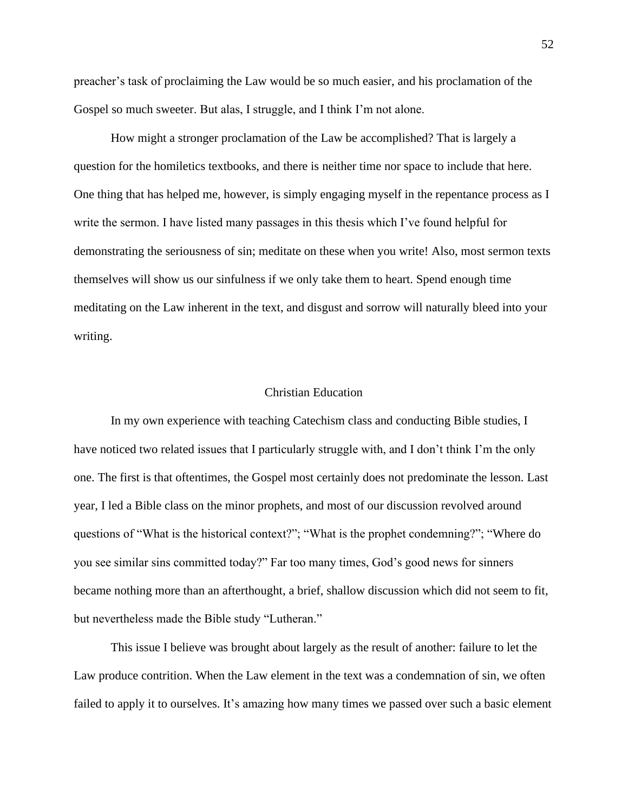preacher's task of proclaiming the Law would be so much easier, and his proclamation of the Gospel so much sweeter. But alas, I struggle, and I think I'm not alone.

How might a stronger proclamation of the Law be accomplished? That is largely a question for the homiletics textbooks, and there is neither time nor space to include that here. One thing that has helped me, however, is simply engaging myself in the repentance process as I write the sermon. I have listed many passages in this thesis which I've found helpful for demonstrating the seriousness of sin; meditate on these when you write! Also, most sermon texts themselves will show us our sinfulness if we only take them to heart. Spend enough time meditating on the Law inherent in the text, and disgust and sorrow will naturally bleed into your writing.

#### Christian Education

In my own experience with teaching Catechism class and conducting Bible studies, I have noticed two related issues that I particularly struggle with, and I don't think I'm the only one. The first is that oftentimes, the Gospel most certainly does not predominate the lesson. Last year, I led a Bible class on the minor prophets, and most of our discussion revolved around questions of "What is the historical context?"; "What is the prophet condemning?"; "Where do you see similar sins committed today?" Far too many times, God's good news for sinners became nothing more than an afterthought, a brief, shallow discussion which did not seem to fit, but nevertheless made the Bible study "Lutheran."

This issue I believe was brought about largely as the result of another: failure to let the Law produce contrition. When the Law element in the text was a condemnation of sin, we often failed to apply it to ourselves. It's amazing how many times we passed over such a basic element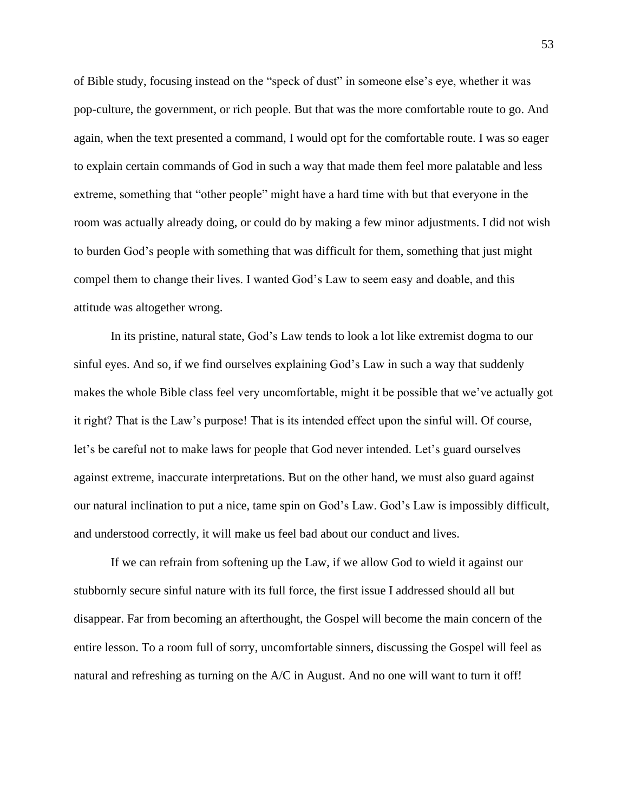of Bible study, focusing instead on the "speck of dust" in someone else's eye, whether it was pop-culture, the government, or rich people. But that was the more comfortable route to go. And again, when the text presented a command, I would opt for the comfortable route. I was so eager to explain certain commands of God in such a way that made them feel more palatable and less extreme, something that "other people" might have a hard time with but that everyone in the room was actually already doing, or could do by making a few minor adjustments. I did not wish to burden God's people with something that was difficult for them, something that just might compel them to change their lives. I wanted God's Law to seem easy and doable, and this attitude was altogether wrong.

In its pristine, natural state, God's Law tends to look a lot like extremist dogma to our sinful eyes. And so, if we find ourselves explaining God's Law in such a way that suddenly makes the whole Bible class feel very uncomfortable, might it be possible that we've actually got it right? That is the Law's purpose! That is its intended effect upon the sinful will. Of course, let's be careful not to make laws for people that God never intended. Let's guard ourselves against extreme, inaccurate interpretations. But on the other hand, we must also guard against our natural inclination to put a nice, tame spin on God's Law. God's Law is impossibly difficult, and understood correctly, it will make us feel bad about our conduct and lives.

If we can refrain from softening up the Law, if we allow God to wield it against our stubbornly secure sinful nature with its full force, the first issue I addressed should all but disappear. Far from becoming an afterthought, the Gospel will become the main concern of the entire lesson. To a room full of sorry, uncomfortable sinners, discussing the Gospel will feel as natural and refreshing as turning on the A/C in August. And no one will want to turn it off!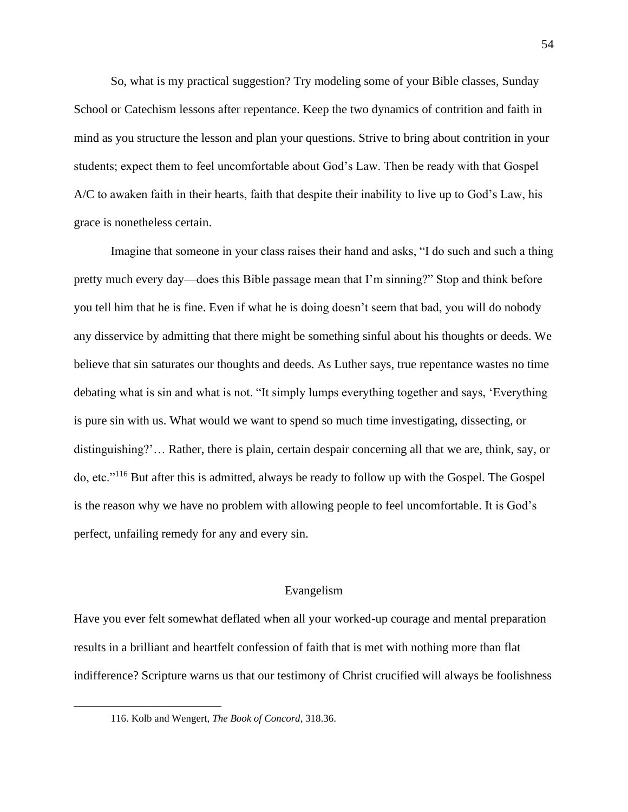So, what is my practical suggestion? Try modeling some of your Bible classes, Sunday School or Catechism lessons after repentance. Keep the two dynamics of contrition and faith in mind as you structure the lesson and plan your questions. Strive to bring about contrition in your students; expect them to feel uncomfortable about God's Law. Then be ready with that Gospel A/C to awaken faith in their hearts, faith that despite their inability to live up to God's Law, his grace is nonetheless certain.

Imagine that someone in your class raises their hand and asks, "I do such and such a thing pretty much every day—does this Bible passage mean that I'm sinning?" Stop and think before you tell him that he is fine. Even if what he is doing doesn't seem that bad, you will do nobody any disservice by admitting that there might be something sinful about his thoughts or deeds. We believe that sin saturates our thoughts and deeds. As Luther says, true repentance wastes no time debating what is sin and what is not. "It simply lumps everything together and says, 'Everything is pure sin with us. What would we want to spend so much time investigating, dissecting, or distinguishing?'… Rather, there is plain, certain despair concerning all that we are, think, say, or do, etc."<sup>116</sup> But after this is admitted, always be ready to follow up with the Gospel. The Gospel is the reason why we have no problem with allowing people to feel uncomfortable. It is God's perfect, unfailing remedy for any and every sin.

#### Evangelism

Have you ever felt somewhat deflated when all your worked-up courage and mental preparation results in a brilliant and heartfelt confession of faith that is met with nothing more than flat indifference? Scripture warns us that our testimony of Christ crucified will always be foolishness

<sup>116.</sup> Kolb and Wengert, *The Book of Concord*, 318.36.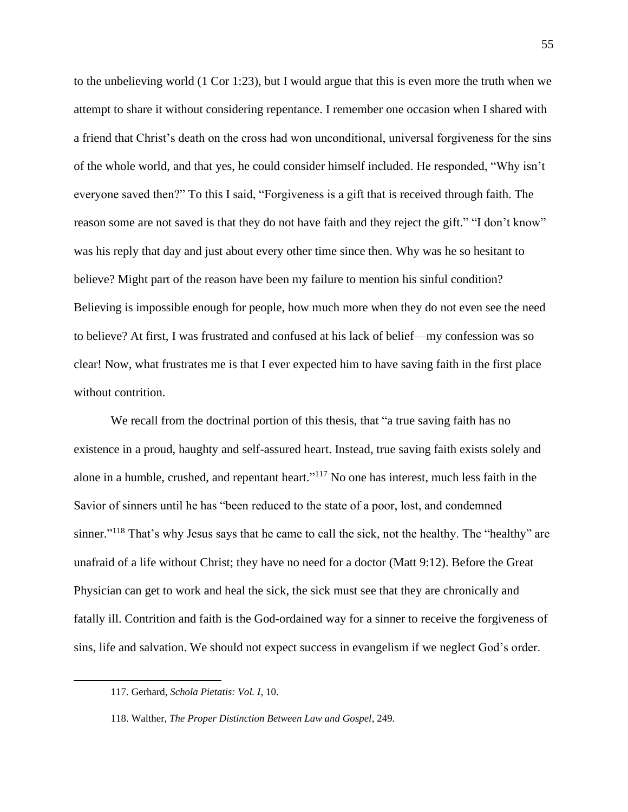to the unbelieving world (1 Cor 1:23), but I would argue that this is even more the truth when we attempt to share it without considering repentance. I remember one occasion when I shared with a friend that Christ's death on the cross had won unconditional, universal forgiveness for the sins of the whole world, and that yes, he could consider himself included. He responded, "Why isn't everyone saved then?" To this I said, "Forgiveness is a gift that is received through faith. The reason some are not saved is that they do not have faith and they reject the gift." "I don't know" was his reply that day and just about every other time since then. Why was he so hesitant to believe? Might part of the reason have been my failure to mention his sinful condition? Believing is impossible enough for people, how much more when they do not even see the need to believe? At first, I was frustrated and confused at his lack of belief—my confession was so clear! Now, what frustrates me is that I ever expected him to have saving faith in the first place without contrition.

We recall from the doctrinal portion of this thesis, that "a true saving faith has no existence in a proud, haughty and self-assured heart. Instead, true saving faith exists solely and alone in a humble, crushed, and repentant heart."<sup>117</sup> No one has interest, much less faith in the Savior of sinners until he has "been reduced to the state of a poor, lost, and condemned sinner."<sup>118</sup> That's why Jesus says that he came to call the sick, not the healthy. The "healthy" are unafraid of a life without Christ; they have no need for a doctor (Matt 9:12). Before the Great Physician can get to work and heal the sick, the sick must see that they are chronically and fatally ill. Contrition and faith is the God-ordained way for a sinner to receive the forgiveness of sins, life and salvation. We should not expect success in evangelism if we neglect God's order.

<sup>117.</sup> Gerhard, *Schola Pietatis: Vol. I*, 10.

<sup>118.</sup> Walther, *The Proper Distinction Between Law and Gospel*, 249*.*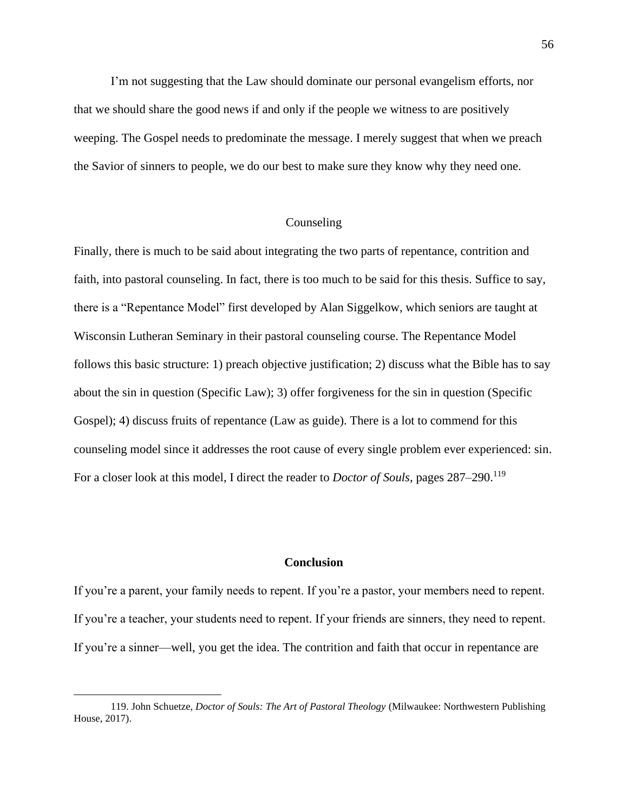I'm not suggesting that the Law should dominate our personal evangelism efforts, nor that we should share the good news if and only if the people we witness to are positively weeping. The Gospel needs to predominate the message. I merely suggest that when we preach the Savior of sinners to people, we do our best to make sure they know why they need one.

# Counseling

Finally, there is much to be said about integrating the two parts of repentance, contrition and faith, into pastoral counseling. In fact, there is too much to be said for this thesis. Suffice to say, there is a "Repentance Model" first developed by Alan Siggelkow, which seniors are taught at Wisconsin Lutheran Seminary in their pastoral counseling course. The Repentance Model follows this basic structure: 1) preach objective justification; 2) discuss what the Bible has to say about the sin in question (Specific Law); 3) offer forgiveness for the sin in question (Specific Gospel); 4) discuss fruits of repentance (Law as guide). There is a lot to commend for this counseling model since it addresses the root cause of every single problem ever experienced: sin. For a closer look at this model, I direct the reader to *Doctor of Souls*, pages  $287-290$ <sup>119</sup>

# **Conclusion**

If you're a parent, your family needs to repent. If you're a pastor, your members need to repent. If you're a teacher, your students need to repent. If your friends are sinners, they need to repent. If you're a sinner—well, you get the idea. The contrition and faith that occur in repentance are

<sup>119.</sup> John Schuetze, *Doctor of Souls: The Art of Pastoral Theology* (Milwaukee: Northwestern Publishing House, 2017).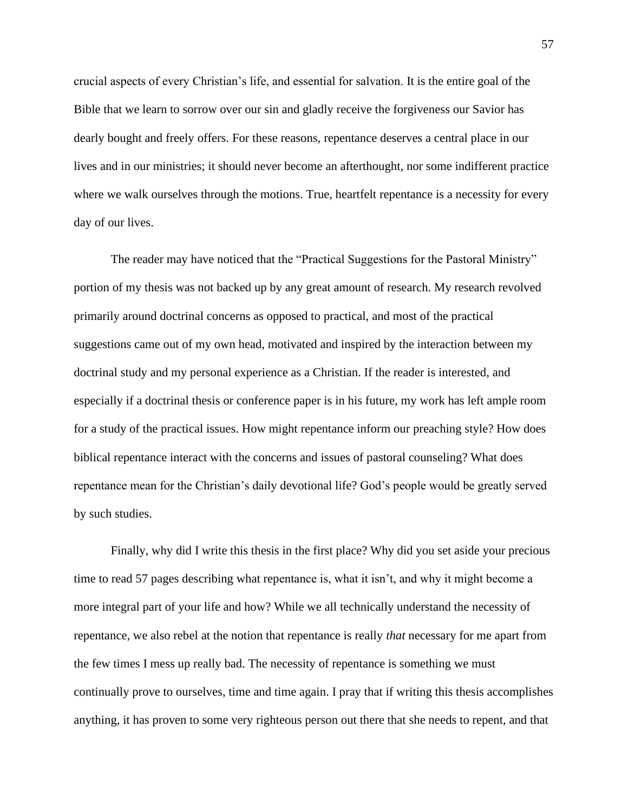crucial aspects of every Christian's life, and essential for salvation. It is the entire goal of the Bible that we learn to sorrow over our sin and gladly receive the forgiveness our Savior has dearly bought and freely offers. For these reasons, repentance deserves a central place in our lives and in our ministries; it should never become an afterthought, nor some indifferent practice where we walk ourselves through the motions. True, heartfelt repentance is a necessity for every day of our lives.

The reader may have noticed that the "Practical Suggestions for the Pastoral Ministry" portion of my thesis was not backed up by any great amount of research. My research revolved primarily around doctrinal concerns as opposed to practical, and most of the practical suggestions came out of my own head, motivated and inspired by the interaction between my doctrinal study and my personal experience as a Christian. If the reader is interested, and especially if a doctrinal thesis or conference paper is in his future, my work has left ample room for a study of the practical issues. How might repentance inform our preaching style? How does biblical repentance interact with the concerns and issues of pastoral counseling? What does repentance mean for the Christian's daily devotional life? God's people would be greatly served by such studies.

Finally, why did I write this thesis in the first place? Why did you set aside your precious time to read 57 pages describing what repentance is, what it isn't, and why it might become a more integral part of your life and how? While we all technically understand the necessity of repentance, we also rebel at the notion that repentance is really *that* necessary for me apart from the few times I mess up really bad. The necessity of repentance is something we must continually prove to ourselves, time and time again. I pray that if writing this thesis accomplishes anything, it has proven to some very righteous person out there that she needs to repent, and that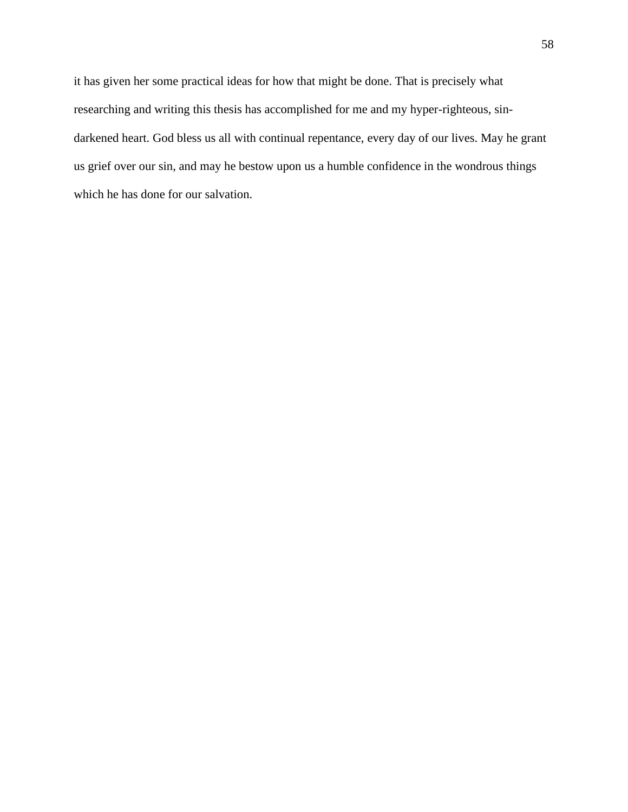it has given her some practical ideas for how that might be done. That is precisely what researching and writing this thesis has accomplished for me and my hyper-righteous, sindarkened heart. God bless us all with continual repentance, every day of our lives. May he grant us grief over our sin, and may he bestow upon us a humble confidence in the wondrous things which he has done for our salvation.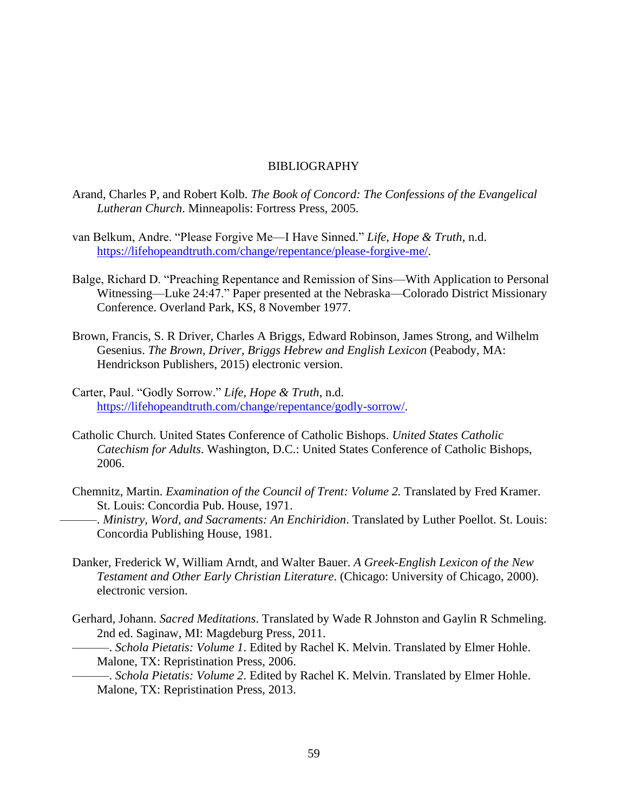### BIBLIOGRAPHY

- Arand, Charles P, and Robert Kolb. *The Book of Concord: The Confessions of the Evangelical Lutheran Church*. Minneapolis: Fortress Press, 2005.
- van Belkum, Andre. "Please Forgive Me—I Have Sinned." *Life, Hope & Truth*, n.d. [https://lifehopeandtruth.com/change/repentance/please-forgive-me/.](https://lifehopeandtruth.com/change/repentance/please-forgive-me/)
- Balge, Richard D. "Preaching Repentance and Remission of Sins—With Application to Personal Witnessing—Luke 24:47." Paper presented at the Nebraska—Colorado District Missionary Conference. Overland Park, KS, 8 November 1977.
- Brown, Francis, S. R Driver, Charles A Briggs, Edward Robinson, James Strong, and Wilhelm Gesenius. *The Brown, Driver, Briggs Hebrew and English Lexicon* (Peabody, MA: Hendrickson Publishers, 2015) electronic version.
- Carter, Paul. "Godly Sorrow." *Life, Hope & Truth*, n.d. [https://lifehopeandtruth.com/change/repentance/godly-sorrow/.](https://lifehopeandtruth.com/change/repentance/godly-sorrow/)
- Catholic Church. United States Conference of Catholic Bishops. *United States Catholic Catechism for Adults*. Washington, D.C.: United States Conference of Catholic Bishops, 2006.
- Chemnitz, Martin. *Examination of the Council of Trent: Volume 2.* Translated by Fred Kramer. St. Louis: Concordia Pub. House, 1971.
	- ———. *Ministry, Word, and Sacraments: An Enchiridion*. Translated by Luther Poellot. St. Louis: Concordia Publishing House, 1981.
- Danker, Frederick W, William Arndt, and Walter Bauer. *A Greek-English Lexicon of the New Testament and Other Early Christian Literature*. (Chicago: University of Chicago, 2000). electronic version.
- Gerhard, Johann. *Sacred Meditations*. Translated by Wade R Johnston and Gaylin R Schmeling. 2nd ed. Saginaw, MI: Magdeburg Press, 2011.
	- ———. *Schola Pietatis: Volume 1*. Edited by Rachel K. Melvin. Translated by Elmer Hohle. Malone, TX: Repristination Press, 2006.

———. *Schola Pietatis: Volume 2*. Edited by Rachel K. Melvin. Translated by Elmer Hohle. Malone, TX: Repristination Press, 2013.